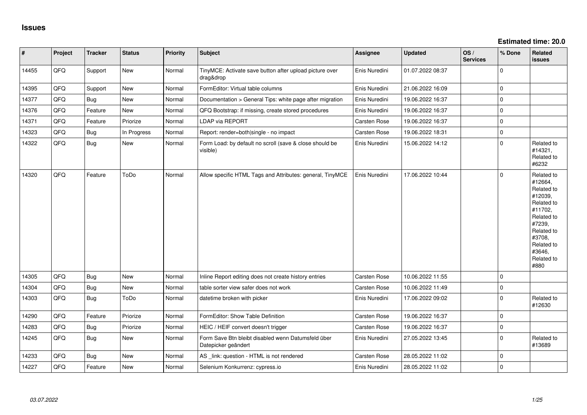| #     | Project | <b>Tracker</b> | <b>Status</b> | <b>Priority</b> | <b>Subject</b>                                                            | Assignee      | <b>Updated</b>   | OS/<br><b>Services</b> | % Done      | Related<br><b>issues</b>                                                                                                                                              |
|-------|---------|----------------|---------------|-----------------|---------------------------------------------------------------------------|---------------|------------------|------------------------|-------------|-----------------------------------------------------------------------------------------------------------------------------------------------------------------------|
| 14455 | QFQ     | Support        | New           | Normal          | TinyMCE: Activate save button after upload picture over<br>drag&drop      | Enis Nuredini | 01.07.2022 08:37 |                        | 0           |                                                                                                                                                                       |
| 14395 | QFQ     | Support        | <b>New</b>    | Normal          | FormEditor: Virtual table columns                                         | Enis Nuredini | 21.06.2022 16:09 |                        | $\Omega$    |                                                                                                                                                                       |
| 14377 | QFQ     | <b>Bug</b>     | New           | Normal          | Documentation > General Tips: white page after migration                  | Enis Nuredini | 19.06.2022 16:37 |                        | 0           |                                                                                                                                                                       |
| 14376 | QFQ     | Feature        | New           | Normal          | QFQ Bootstrap: if missing, create stored procedures                       | Enis Nuredini | 19.06.2022 16:37 |                        | $\Omega$    |                                                                                                                                                                       |
| 14371 | QFQ     | Feature        | Priorize      | Normal          | <b>LDAP via REPORT</b>                                                    | Carsten Rose  | 19.06.2022 16:37 |                        | $\Omega$    |                                                                                                                                                                       |
| 14323 | QFQ     | <b>Bug</b>     | In Progress   | Normal          | Report: render=both single - no impact                                    | Carsten Rose  | 19.06.2022 18:31 |                        | 0           |                                                                                                                                                                       |
| 14322 | QFQ     | Bug            | New           | Normal          | Form Load: by default no scroll (save & close should be<br>visible)       | Enis Nuredini | 15.06.2022 14:12 |                        | $\Omega$    | Related to<br>#14321,<br>Related to<br>#6232                                                                                                                          |
| 14320 | QFQ     | Feature        | ToDo          | Normal          | Allow specific HTML Tags and Attributes: general, TinyMCE                 | Enis Nuredini | 17.06.2022 10:44 |                        | 0           | Related to<br>#12664,<br>Related to<br>#12039,<br>Related to<br>#11702,<br>Related to<br>#7239,<br>Related to<br>#3708,<br>Related to<br>#3646,<br>Related to<br>#880 |
| 14305 | QFQ     | Bug            | New           | Normal          | Inline Report editing does not create history entries                     | Carsten Rose  | 10.06.2022 11:55 |                        | $\Omega$    |                                                                                                                                                                       |
| 14304 | QFQ     | <b>Bug</b>     | New           | Normal          | table sorter view safer does not work                                     | Carsten Rose  | 10.06.2022 11:49 |                        | $\Omega$    |                                                                                                                                                                       |
| 14303 | QFQ     | <b>Bug</b>     | ToDo          | Normal          | datetime broken with picker                                               | Enis Nuredini | 17.06.2022 09:02 |                        | $\Omega$    | Related to<br>#12630                                                                                                                                                  |
| 14290 | QFQ     | Feature        | Priorize      | Normal          | FormEditor: Show Table Definition                                         | Carsten Rose  | 19.06.2022 16:37 |                        | $\Omega$    |                                                                                                                                                                       |
| 14283 | QFQ     | Bug            | Priorize      | Normal          | HEIC / HEIF convert doesn't trigger                                       | Carsten Rose  | 19.06.2022 16:37 |                        | $\mathbf 0$ |                                                                                                                                                                       |
| 14245 | QFQ     | Bug            | New           | Normal          | Form Save Btn bleibt disabled wenn Datumsfeld über<br>Datepicker geändert | Enis Nuredini | 27.05.2022 13:45 |                        | $\Omega$    | Related to<br>#13689                                                                                                                                                  |
| 14233 | QFQ     | <b>Bug</b>     | New           | Normal          | AS _link: question - HTML is not rendered                                 | Carsten Rose  | 28.05.2022 11:02 |                        | $\Omega$    |                                                                                                                                                                       |
| 14227 | QFQ     | Feature        | <b>New</b>    | Normal          | Selenium Konkurrenz: cypress.io                                           | Enis Nuredini | 28.05.2022 11:02 |                        | $\Omega$    |                                                                                                                                                                       |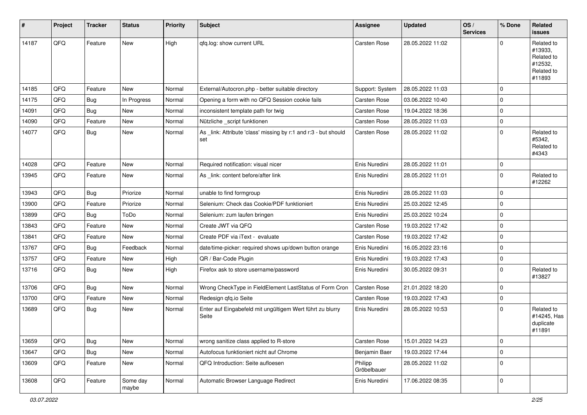| $\vert$ # | Project | <b>Tracker</b> | <b>Status</b>     | <b>Priority</b> | <b>Subject</b>                                                         | <b>Assignee</b>        | <b>Updated</b>   | OS/<br><b>Services</b> | % Done      | Related<br><b>issues</b>                                               |
|-----------|---------|----------------|-------------------|-----------------|------------------------------------------------------------------------|------------------------|------------------|------------------------|-------------|------------------------------------------------------------------------|
| 14187     | QFQ     | Feature        | New               | High            | qfq.log: show current URL                                              | <b>Carsten Rose</b>    | 28.05.2022 11:02 |                        | $\Omega$    | Related to<br>#13933,<br>Related to<br>#12532,<br>Related to<br>#11893 |
| 14185     | QFQ     | Feature        | New               | Normal          | External/Autocron.php - better suitable directory                      | Support: System        | 28.05.2022 11:03 |                        | $\mathbf 0$ |                                                                        |
| 14175     | QFQ     | <b>Bug</b>     | In Progress       | Normal          | Opening a form with no QFQ Session cookie fails                        | Carsten Rose           | 03.06.2022 10:40 |                        | $\mathbf 0$ |                                                                        |
| 14091     | QFQ     | <b>Bug</b>     | New               | Normal          | inconsistent template path for twig                                    | Carsten Rose           | 19.04.2022 18:36 |                        | $\mathbf 0$ |                                                                        |
| 14090     | QFQ     | Feature        | New               | Normal          | Nützliche _script funktionen                                           | Carsten Rose           | 28.05.2022 11:03 |                        | $\mathbf 0$ |                                                                        |
| 14077     | QFQ     | Bug            | New               | Normal          | As _link: Attribute 'class' missing by r:1 and r:3 - but should<br>set | Carsten Rose           | 28.05.2022 11:02 |                        | $\mathbf 0$ | Related to<br>#5342,<br>Related to<br>#4343                            |
| 14028     | QFQ     | Feature        | <b>New</b>        | Normal          | Required notification: visual nicer                                    | Enis Nuredini          | 28.05.2022 11:01 |                        | $\mathbf 0$ |                                                                        |
| 13945     | QFQ     | Feature        | New               | Normal          | As _link: content before/after link                                    | Enis Nuredini          | 28.05.2022 11:01 |                        | $\mathbf 0$ | Related to<br>#12262                                                   |
| 13943     | QFQ     | <b>Bug</b>     | Priorize          | Normal          | unable to find formgroup                                               | Enis Nuredini          | 28.05.2022 11:03 |                        | $\mathbf 0$ |                                                                        |
| 13900     | QFQ     | Feature        | Priorize          | Normal          | Selenium: Check das Cookie/PDF funktioniert                            | Enis Nuredini          | 25.03.2022 12:45 |                        | $\mathbf 0$ |                                                                        |
| 13899     | QFQ     | <b>Bug</b>     | ToDo              | Normal          | Selenium: zum laufen bringen                                           | Enis Nuredini          | 25.03.2022 10:24 |                        | $\mathbf 0$ |                                                                        |
| 13843     | QFQ     | Feature        | New               | Normal          | Create JWT via QFQ                                                     | Carsten Rose           | 19.03.2022 17:42 |                        | $\mathbf 0$ |                                                                        |
| 13841     | QFQ     | Feature        | New               | Normal          | Create PDF via iText - evaluate                                        | Carsten Rose           | 19.03.2022 17:42 |                        | $\mathbf 0$ |                                                                        |
| 13767     | QFQ     | <b>Bug</b>     | Feedback          | Normal          | date/time-picker: required shows up/down button orange                 | Enis Nuredini          | 16.05.2022 23:16 |                        | $\mathbf 0$ |                                                                        |
| 13757     | QFQ     | Feature        | New               | High            | QR / Bar-Code Plugin                                                   | Enis Nuredini          | 19.03.2022 17:43 |                        | $\mathbf 0$ |                                                                        |
| 13716     | QFQ     | <b>Bug</b>     | New               | High            | Firefox ask to store username/password                                 | Enis Nuredini          | 30.05.2022 09:31 |                        | $\mathbf 0$ | Related to<br>#13827                                                   |
| 13706     | QFQ     | <b>Bug</b>     | New               | Normal          | Wrong CheckType in FieldElement LastStatus of Form Cron                | Carsten Rose           | 21.01.2022 18:20 |                        | $\mathbf 0$ |                                                                        |
| 13700     | QFQ     | Feature        | New               | Normal          | Redesign qfq.io Seite                                                  | Carsten Rose           | 19.03.2022 17:43 |                        | $\mathbf 0$ |                                                                        |
| 13689     | QFQ     | <b>Bug</b>     | New               | Normal          | Enter auf Eingabefeld mit ungültigem Wert führt zu blurry<br>Seite     | Enis Nuredini          | 28.05.2022 10:53 |                        | $\mathbf 0$ | Related to<br>#14245, Has<br>duplicate<br>#11891                       |
| 13659     | QFQ     | Bug            | New               | Normal          | wrong sanitize class applied to R-store                                | Carsten Rose           | 15.01.2022 14:23 |                        | $\mathbf 0$ |                                                                        |
| 13647     | QFQ     | <b>Bug</b>     | New               | Normal          | Autofocus funktioniert nicht auf Chrome                                | Benjamin Baer          | 19.03.2022 17:44 |                        | $\mathbf 0$ |                                                                        |
| 13609     | QFQ     | Feature        | New               | Normal          | QFQ Introduction: Seite aufloesen                                      | Philipp<br>Gröbelbauer | 28.05.2022 11:02 |                        | $\mathbf 0$ |                                                                        |
| 13608     | QFQ     | Feature        | Some day<br>maybe | Normal          | Automatic Browser Language Redirect                                    | Enis Nuredini          | 17.06.2022 08:35 |                        | $\mathbf 0$ |                                                                        |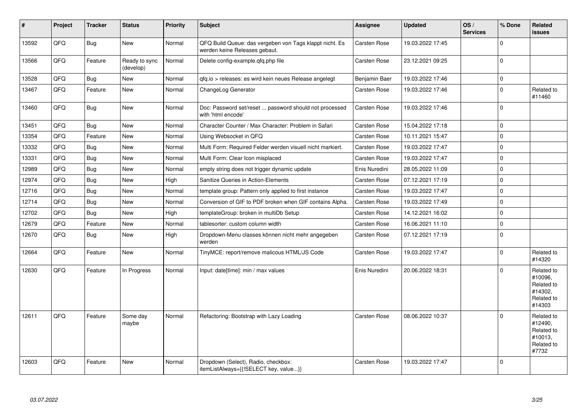| #     | Project | <b>Tracker</b> | <b>Status</b>              | <b>Priority</b> | <b>Subject</b>                                                                           | Assignee            | <b>Updated</b>   | OS/<br><b>Services</b> | % Done      | <b>Related</b><br><b>issues</b>                                        |
|-------|---------|----------------|----------------------------|-----------------|------------------------------------------------------------------------------------------|---------------------|------------------|------------------------|-------------|------------------------------------------------------------------------|
| 13592 | QFQ     | <b>Bug</b>     | <b>New</b>                 | Normal          | QFQ Build Queue: das vergeben von Tags klappt nicht. Es<br>werden keine Releases gebaut. | Carsten Rose        | 19.03.2022 17:45 |                        | $\mathbf 0$ |                                                                        |
| 13566 | QFQ     | Feature        | Ready to sync<br>(develop) | Normal          | Delete config-example.gfg.php file                                                       | Carsten Rose        | 23.12.2021 09:25 |                        | $\mathbf 0$ |                                                                        |
| 13528 | QFQ     | Bug            | <b>New</b>                 | Normal          | gfg.io > releases: es wird kein neues Release angelegt                                   | Benjamin Baer       | 19.03.2022 17:46 |                        | $\mathbf 0$ |                                                                        |
| 13467 | QFQ     | Feature        | <b>New</b>                 | Normal          | ChangeLog Generator                                                                      | Carsten Rose        | 19.03.2022 17:46 |                        | $\mathbf 0$ | Related to<br>#11460                                                   |
| 13460 | QFQ     | Bug            | <b>New</b>                 | Normal          | Doc: Password set/reset  password should not processed<br>with 'html encode'             | Carsten Rose        | 19.03.2022 17:46 |                        | $\Omega$    |                                                                        |
| 13451 | QFQ     | Bug            | New                        | Normal          | Character Counter / Max Character: Problem in Safari                                     | Carsten Rose        | 15.04.2022 17:18 |                        | $\pmb{0}$   |                                                                        |
| 13354 | QFQ     | Feature        | <b>New</b>                 | Normal          | Using Websocket in QFQ                                                                   | Carsten Rose        | 10.11.2021 15:47 |                        | $\pmb{0}$   |                                                                        |
| 13332 | QFQ     | Bug            | <b>New</b>                 | Normal          | Multi Form: Required Felder werden visuell nicht markiert.                               | Carsten Rose        | 19.03.2022 17:47 |                        | $\pmb{0}$   |                                                                        |
| 13331 | QFQ     | Bug            | New                        | Normal          | Multi Form: Clear Icon misplaced                                                         | Carsten Rose        | 19.03.2022 17:47 |                        | $\mathbf 0$ |                                                                        |
| 12989 | QFQ     | Bug            | New                        | Normal          | empty string does not trigger dynamic update                                             | Enis Nuredini       | 28.05.2022 11:09 |                        | $\pmb{0}$   |                                                                        |
| 12974 | QFQ     | Bug            | <b>New</b>                 | High            | Sanitize Queries in Action-Elements                                                      | Carsten Rose        | 07.12.2021 17:19 |                        | $\pmb{0}$   |                                                                        |
| 12716 | QFQ     | <b>Bug</b>     | <b>New</b>                 | Normal          | template group: Pattern only applied to first instance                                   | Carsten Rose        | 19.03.2022 17:47 |                        | $\pmb{0}$   |                                                                        |
| 12714 | QFQ     | Bug            | New                        | Normal          | Conversion of GIF to PDF broken when GIF contains Alpha.                                 | Carsten Rose        | 19.03.2022 17:49 |                        | $\pmb{0}$   |                                                                        |
| 12702 | QFQ     | <b>Bug</b>     | New                        | High            | templateGroup: broken in multiDb Setup                                                   | Carsten Rose        | 14.12.2021 16:02 |                        | $\mathbf 0$ |                                                                        |
| 12679 | QFQ     | Feature        | New                        | Normal          | tablesorter: custom column width                                                         | Carsten Rose        | 16.06.2021 11:10 |                        | $\pmb{0}$   |                                                                        |
| 12670 | QFQ     | <b>Bug</b>     | New                        | High            | Dropdown-Menu classes können nicht mehr angegeben<br>werden                              | Carsten Rose        | 07.12.2021 17:19 |                        | $\mathbf 0$ |                                                                        |
| 12664 | QFQ     | Feature        | <b>New</b>                 | Normal          | TinyMCE: report/remove malicous HTML/JS Code                                             | Carsten Rose        | 19.03.2022 17:47 |                        | $\Omega$    | Related to<br>#14320                                                   |
| 12630 | QFQ     | Feature        | In Progress                | Normal          | Input: date[time]: min / max values                                                      | Enis Nuredini       | 20.06.2022 18:31 |                        | $\Omega$    | Related to<br>#10096,<br>Related to<br>#14302.<br>Related to<br>#14303 |
| 12611 | QFQ     | Feature        | Some day<br>maybe          | Normal          | Refactoring: Bootstrap with Lazy Loading                                                 | Carsten Rose        | 08.06.2022 10:37 |                        | $\Omega$    | Related to<br>#12490,<br>Related to<br>#10013,<br>Related to<br>#7732  |
| 12603 | QFQ     | Feature        | New                        | Normal          | Dropdown (Select), Radio, checkbox:<br>itemListAlways={{!SELECT key, value}}             | <b>Carsten Rose</b> | 19.03.2022 17:47 |                        | $\Omega$    |                                                                        |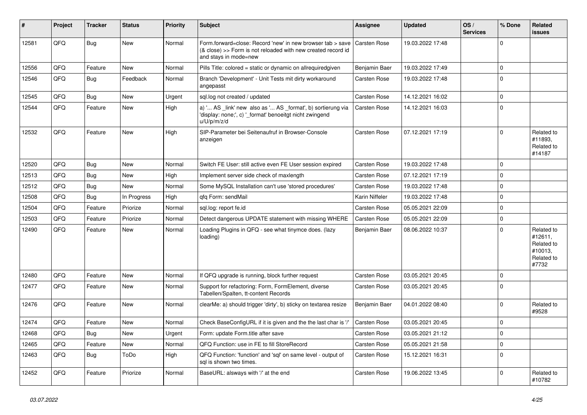| #     | Project | <b>Tracker</b> | <b>Status</b> | <b>Priority</b> | <b>Subject</b>                                                                                                                                      | Assignee            | <b>Updated</b>   | OS/<br><b>Services</b> | % Done      | <b>Related</b><br><b>issues</b>                                       |
|-------|---------|----------------|---------------|-----------------|-----------------------------------------------------------------------------------------------------------------------------------------------------|---------------------|------------------|------------------------|-------------|-----------------------------------------------------------------------|
| 12581 | QFQ     | Bug            | <b>New</b>    | Normal          | Form.forward=close: Record 'new' in new browser tab > save<br>(& close) >> Form is not reloaded with new created record id<br>and stays in mode=new | <b>Carsten Rose</b> | 19.03.2022 17:48 |                        | $\mathbf 0$ |                                                                       |
| 12556 | QFQ     | Feature        | <b>New</b>    | Normal          | Pills Title: colored = static or dynamic on allrequiredgiven                                                                                        | Benjamin Baer       | 19.03.2022 17:49 |                        | $\pmb{0}$   |                                                                       |
| 12546 | QFQ     | <b>Bug</b>     | Feedback      | Normal          | Branch 'Development' - Unit Tests mit dirty workaround<br>angepasst                                                                                 | Carsten Rose        | 19.03.2022 17:48 |                        | $\Omega$    |                                                                       |
| 12545 | QFQ     | <b>Bug</b>     | <b>New</b>    | Urgent          | sql.log not created / updated                                                                                                                       | Carsten Rose        | 14.12.2021 16:02 |                        | $\mathbf 0$ |                                                                       |
| 12544 | QFQ     | Feature        | <b>New</b>    | High            | a) ' AS _link' new also as ' AS _format', b) sortierung via<br>'display: none;', c) ' format' benoeitgt nicht zwingend<br>u/U/p/m/z/d               | Carsten Rose        | 14.12.2021 16:03 |                        | $\Omega$    |                                                                       |
| 12532 | QFQ     | Feature        | <b>New</b>    | High            | SIP-Parameter bei Seitenaufruf in Browser-Console<br>anzeigen                                                                                       | Carsten Rose        | 07.12.2021 17:19 |                        | $\mathbf 0$ | Related to<br>#11893,<br>Related to<br>#14187                         |
| 12520 | QFQ     | <b>Bug</b>     | New           | Normal          | Switch FE User: still active even FE User session expired                                                                                           | Carsten Rose        | 19.03.2022 17:48 |                        | $\mathbf 0$ |                                                                       |
| 12513 | QFQ     | Bug            | <b>New</b>    | High            | Implement server side check of maxlength                                                                                                            | Carsten Rose        | 07.12.2021 17:19 |                        | $\mathsf 0$ |                                                                       |
| 12512 | QFQ     | Bug            | New           | Normal          | Some MySQL Installation can't use 'stored procedures'                                                                                               | Carsten Rose        | 19.03.2022 17:48 |                        | $\mathbf 0$ |                                                                       |
| 12508 | QFQ     | Bug            | In Progress   | High            | qfq Form: sendMail                                                                                                                                  | Karin Niffeler      | 19.03.2022 17:48 |                        | $\pmb{0}$   |                                                                       |
| 12504 | QFQ     | Feature        | Priorize      | Normal          | sql.log: report fe.id                                                                                                                               | Carsten Rose        | 05.05.2021 22:09 |                        | $\mathbf 0$ |                                                                       |
| 12503 | QFQ     | Feature        | Priorize      | Normal          | Detect dangerous UPDATE statement with missing WHERE                                                                                                | Carsten Rose        | 05.05.2021 22:09 |                        | $\pmb{0}$   |                                                                       |
| 12490 | QFQ     | Feature        | <b>New</b>    | Normal          | Loading Plugins in QFQ - see what tinymce does. (lazy<br>loading)                                                                                   | Benjamin Baer       | 08.06.2022 10:37 |                        | $\Omega$    | Related to<br>#12611,<br>Related to<br>#10013,<br>Related to<br>#7732 |
| 12480 | OFQ     | Feature        | <b>New</b>    | Normal          | If QFQ upgrade is running, block further request                                                                                                    | Carsten Rose        | 03.05.2021 20:45 |                        | $\Omega$    |                                                                       |
| 12477 | QFQ     | Feature        | <b>New</b>    | Normal          | Support for refactoring: Form, FormElement, diverse<br>Tabellen/Spalten, tt-content Records                                                         | Carsten Rose        | 03.05.2021 20:45 |                        | $\Omega$    |                                                                       |
| 12476 | QFQ     | Feature        | <b>New</b>    | Normal          | clearMe: a) should trigger 'dirty', b) sticky on textarea resize                                                                                    | Benjamin Baer       | 04.01.2022 08:40 |                        | $\mathbf 0$ | Related to<br>#9528                                                   |
| 12474 | QFQ     | Feature        | <b>New</b>    | Normal          | Check BaseConfigURL if it is given and the the last char is '/'                                                                                     | Carsten Rose        | 03.05.2021 20:45 |                        | $\mathbf 0$ |                                                                       |
| 12468 | QFQ     | Bug            | <b>New</b>    | Urgent          | Form: update Form.title after save                                                                                                                  | Carsten Rose        | 03.05.2021 21:12 |                        | $\mathbf 0$ |                                                                       |
| 12465 | QFQ     | Feature        | <b>New</b>    | Normal          | QFQ Function: use in FE to fill StoreRecord                                                                                                         | Carsten Rose        | 05.05.2021 21:58 |                        | $\pmb{0}$   |                                                                       |
| 12463 | QFQ     | Bug            | ToDo          | High            | QFQ Function: 'function' and 'sql' on same level - output of<br>sal is shown two times.                                                             | Carsten Rose        | 15.12.2021 16:31 |                        | $\mathbf 0$ |                                                                       |
| 12452 | QFQ     | Feature        | Priorize      | Normal          | BaseURL: alsways with '/' at the end                                                                                                                | Carsten Rose        | 19.06.2022 13:45 |                        | $\Omega$    | Related to<br>#10782                                                  |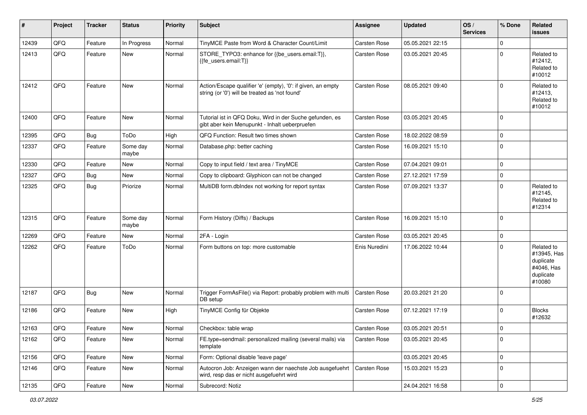| #     | Project | <b>Tracker</b> | <b>Status</b>     | <b>Priority</b> | <b>Subject</b>                                                                                                 | <b>Assignee</b> | <b>Updated</b>   | OS/<br><b>Services</b> | % Done      | <b>Related</b><br><b>issues</b>                                             |
|-------|---------|----------------|-------------------|-----------------|----------------------------------------------------------------------------------------------------------------|-----------------|------------------|------------------------|-------------|-----------------------------------------------------------------------------|
| 12439 | QFQ     | Feature        | In Progress       | Normal          | TinyMCE Paste from Word & Character Count/Limit                                                                | Carsten Rose    | 05.05.2021 22:15 |                        | $\mathbf 0$ |                                                                             |
| 12413 | QFQ     | Feature        | New               | Normal          | STORE TYPO3: enhance for {{be users.email:T}},<br>{{fe_users.email:T}}                                         | Carsten Rose    | 03.05.2021 20:45 |                        | $\Omega$    | Related to<br>#12412,<br>Related to<br>#10012                               |
| 12412 | QFQ     | Feature        | <b>New</b>        | Normal          | Action/Escape qualifier 'e' (empty), '0': if given, an empty<br>string (or '0') will be treated as 'not found' | Carsten Rose    | 08.05.2021 09:40 |                        | $\Omega$    | Related to<br>#12413,<br>Related to<br>#10012                               |
| 12400 | QFQ     | Feature        | New               | Normal          | Tutorial ist in QFQ Doku, Wird in der Suche gefunden, es<br>gibt aber kein Menupunkt - Inhalt ueberpruefen     | Carsten Rose    | 03.05.2021 20:45 |                        | $\mathbf 0$ |                                                                             |
| 12395 | QFQ     | Bug            | ToDo              | High            | QFQ Function: Result two times shown                                                                           | Carsten Rose    | 18.02.2022 08:59 |                        | $\mathbf 0$ |                                                                             |
| 12337 | QFQ     | Feature        | Some day<br>maybe | Normal          | Database.php: better caching                                                                                   | Carsten Rose    | 16.09.2021 15:10 |                        | $\mathbf 0$ |                                                                             |
| 12330 | QFQ     | Feature        | New               | Normal          | Copy to input field / text area / TinyMCE                                                                      | Carsten Rose    | 07.04.2021 09:01 |                        | $\mathbf 0$ |                                                                             |
| 12327 | QFQ     | Bug            | New               | Normal          | Copy to clipboard: Glyphicon can not be changed                                                                | Carsten Rose    | 27.12.2021 17:59 |                        | $\mathbf 0$ |                                                                             |
| 12325 | QFQ     | Bug            | Priorize          | Normal          | MultiDB form.dbIndex not working for report syntax                                                             | Carsten Rose    | 07.09.2021 13:37 |                        | $\mathbf 0$ | Related to<br>#12145,<br>Related to<br>#12314                               |
| 12315 | QFQ     | Feature        | Some day<br>maybe | Normal          | Form History (Diffs) / Backups                                                                                 | Carsten Rose    | 16.09.2021 15:10 |                        | $\mathbf 0$ |                                                                             |
| 12269 | QFQ     | Feature        | <b>New</b>        | Normal          | 2FA - Login                                                                                                    | Carsten Rose    | 03.05.2021 20:45 |                        | 0           |                                                                             |
| 12262 | QFQ     | Feature        | ToDo              | Normal          | Form buttons on top: more customable                                                                           | Enis Nuredini   | 17.06.2022 10:44 |                        | $\Omega$    | Related to<br>#13945, Has<br>duplicate<br>#4046, Has<br>duplicate<br>#10080 |
| 12187 | QFQ     | Bug            | New               | Normal          | Trigger FormAsFile() via Report: probably problem with multi<br>DB setup                                       | Carsten Rose    | 20.03.2021 21:20 |                        | $\mathbf 0$ |                                                                             |
| 12186 | QFQ     | Feature        | New               | High            | TinyMCE Config für Objekte                                                                                     | Carsten Rose    | 07.12.2021 17:19 |                        | 0           | <b>Blocks</b><br>#12632                                                     |
| 12163 | QFQ     | Feature        | <b>New</b>        | Normal          | Checkbox: table wrap                                                                                           | Carsten Rose    | 03.05.2021 20:51 |                        | $\mathbf 0$ |                                                                             |
| 12162 | QFQ     | Feature        | New               | Normal          | FE.type=sendmail: personalized mailing (several mails) via<br>template                                         | Carsten Rose    | 03.05.2021 20:45 |                        | 0           |                                                                             |
| 12156 | QFQ     | Feature        | New               | Normal          | Form: Optional disable 'leave page'                                                                            |                 | 03.05.2021 20:45 |                        | 0           |                                                                             |
| 12146 | QFQ     | Feature        | New               | Normal          | Autocron Job: Anzeigen wann der naechste Job ausgefuehrt<br>wird, resp das er nicht ausgefuehrt wird           | Carsten Rose    | 15.03.2021 15:23 |                        | 0           |                                                                             |
| 12135 | QFQ     | Feature        | New               | Normal          | Subrecord: Notiz                                                                                               |                 | 24.04.2021 16:58 |                        | $\pmb{0}$   |                                                                             |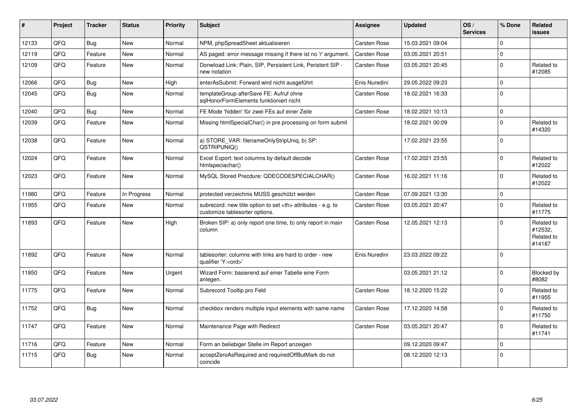| #     | Project | <b>Tracker</b> | <b>Status</b> | <b>Priority</b> | <b>Subject</b>                                                                                       | <b>Assignee</b>                                        | <b>Updated</b>   | OS/<br><b>Services</b> | % Done      | Related<br><b>issues</b>                      |                      |
|-------|---------|----------------|---------------|-----------------|------------------------------------------------------------------------------------------------------|--------------------------------------------------------|------------------|------------------------|-------------|-----------------------------------------------|----------------------|
| 12133 | QFQ     | Bug            | <b>New</b>    | Normal          | NPM, phpSpreadSheet aktualisieren                                                                    | Carsten Rose                                           | 15.03.2021 09:04 |                        | $\Omega$    |                                               |                      |
| 12119 | QFQ     | Feature        | <b>New</b>    | Normal          | AS paged: error message missing if there ist no 'r' argument.                                        | Carsten Rose                                           | 03.05.2021 20:51 |                        | $\mathbf 0$ |                                               |                      |
| 12109 | QFQ     | Feature        | <b>New</b>    | Normal          | Donwload Link: Plain, SIP, Persistent Link, Peristent SIP -<br>new notation                          | Carsten Rose                                           | 03.05.2021 20:45 |                        | $\mathbf 0$ | Related to<br>#12085                          |                      |
| 12066 | QFQ     | Bug            | <b>New</b>    | High            | enterAsSubmit: Forward wird nicht ausgeführt                                                         | Enis Nuredini                                          | 29.05.2022 09:23 |                        | $\mathbf 0$ |                                               |                      |
| 12045 | QFQ     | <b>Bug</b>     | <b>New</b>    | Normal          | templateGroup afterSave FE: Aufruf ohne<br>sglHonorFormElements funktioniert nicht                   | Carsten Rose                                           | 18.02.2021 16:33 |                        | $\mathbf 0$ |                                               |                      |
| 12040 | QFQ     | Bug            | <b>New</b>    | Normal          | FE Mode 'hidden' für zwei FEs auf einer Zeile                                                        | <b>Carsten Rose</b>                                    | 18.02.2021 10:13 |                        | $\mathbf 0$ |                                               |                      |
| 12039 | QFQ     | Feature        | New           | Normal          | Missing htmlSpecialChar() in pre processing on form submit                                           |                                                        | 18.02.2021 00:09 |                        | $\mathbf 0$ | Related to<br>#14320                          |                      |
| 12038 | QFQ     | Feature        | New           | Normal          | a) STORE_VAR: filenameOnlyStripUniq, b) SP:<br>QSTRIPUNIQ()                                          |                                                        | 17.02.2021 23:55 |                        | $\mathbf 0$ |                                               |                      |
| 12024 | QFQ     | Feature        | New           | Normal          | Excel Export: text columns by default decode<br>htmlspeciachar()                                     | Carsten Rose                                           | 17.02.2021 23:55 |                        | $\mathbf 0$ | Related to<br>#12022                          |                      |
| 12023 | QFQ     | Feature        | New           | Normal          | MySQL Stored Precdure: QDECODESPECIALCHAR()                                                          | Carsten Rose                                           | 16.02.2021 11:16 |                        | $\Omega$    | Related to<br>#12022                          |                      |
| 11980 | QFQ     | Feature        | In Progress   | Normal          | protected verzeichnis MUSS geschützt werden                                                          | Carsten Rose                                           | 07.09.2021 13:30 |                        | $\mathbf 0$ |                                               |                      |
| 11955 | QFQ     | Feature        | <b>New</b>    | Normal          | subrecord: new title option to set <th> attributes - e.g. to<br/>customize tablesorter options.</th> | attributes - e.g. to<br>customize tablesorter options. | Carsten Rose     | 03.05.2021 20:47       |             | $\Omega$                                      | Related to<br>#11775 |
| 11893 | QFQ     | Feature        | New           | High            | Broken SIP: a) only report one time, b) only report in main<br>column                                | Carsten Rose                                           | 12.05.2021 12:13 |                        | $\Omega$    | Related to<br>#12532,<br>Related to<br>#14187 |                      |
| 11892 | QFQ     | Feature        | <b>New</b>    | Normal          | tablesorter: columns with links are hard to order - new<br>qualifier 'Y: <ord>'</ord>                | Enis Nuredini                                          | 23.03.2022 09:22 |                        | $\mathbf 0$ |                                               |                      |
| 11850 | QFQ     | Feature        | <b>New</b>    | Urgent          | Wizard Form: basierend auf einer Tabelle eine Form<br>anlegen.                                       |                                                        | 03.05.2021 21:12 |                        | $\mathbf 0$ | Blocked by<br>#8082                           |                      |
| 11775 | QFQ     | Feature        | <b>New</b>    | Normal          | Subrecord Tooltip pro Feld                                                                           | Carsten Rose                                           | 18.12.2020 15:22 |                        | $\Omega$    | Related to<br>#11955                          |                      |
| 11752 | QFQ     | Bug            | New           | Normal          | checkbox renders multiple input elements with same name                                              | Carsten Rose                                           | 17.12.2020 14:58 |                        | $\Omega$    | Related to<br>#11750                          |                      |
| 11747 | QFQ     | Feature        | New           | Normal          | Maintenance Page with Redirect                                                                       | Carsten Rose                                           | 03.05.2021 20:47 |                        | $\mathbf 0$ | Related to<br>#11741                          |                      |
| 11716 | QFQ     | Feature        | New           | Normal          | Form an beliebiger Stelle im Report anzeigen                                                         |                                                        | 09.12.2020 09:47 |                        | $\mathbf 0$ |                                               |                      |
| 11715 | QFQ     | <b>Bug</b>     | <b>New</b>    | Normal          | acceptZeroAsRequired and requiredOffButMark do not<br>coincide                                       |                                                        | 08.12.2020 12:13 |                        | $\mathbf 0$ |                                               |                      |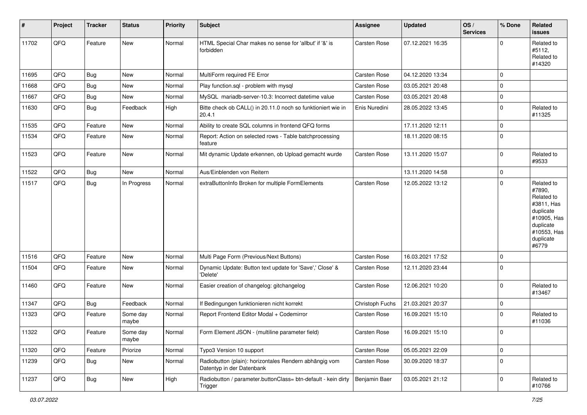| #     | Project | <b>Tracker</b> | <b>Status</b>     | <b>Priority</b> | <b>Subject</b>                                                                      | <b>Assignee</b>     | <b>Updated</b>   | OS/<br><b>Services</b> | % Done              | Related<br>issues                                                                                                              |
|-------|---------|----------------|-------------------|-----------------|-------------------------------------------------------------------------------------|---------------------|------------------|------------------------|---------------------|--------------------------------------------------------------------------------------------------------------------------------|
| 11702 | QFQ     | Feature        | New               | Normal          | HTML Special Char makes no sense for 'allbut' if '&' is<br>forbidden                | <b>Carsten Rose</b> | 07.12.2021 16:35 |                        | $\Omega$            | Related to<br>#5112,<br>Related to<br>#14320                                                                                   |
| 11695 | QFQ     | Bug            | New               | Normal          | MultiForm required FE Error                                                         | Carsten Rose        | 04.12.2020 13:34 |                        | $\mathbf 0$         |                                                                                                                                |
| 11668 | QFQ     | Bug            | New               | Normal          | Play function.sql - problem with mysql                                              | Carsten Rose        | 03.05.2021 20:48 |                        | $\mathbf 0$         |                                                                                                                                |
| 11667 | QFQ     | <b>Bug</b>     | New               | Normal          | MySQL mariadb-server-10.3: Incorrect datetime value                                 | Carsten Rose        | 03.05.2021 20:48 |                        | $\mathbf 0$         |                                                                                                                                |
| 11630 | QFQ     | <b>Bug</b>     | Feedback          | High            | Bitte check ob CALL() in 20.11.0 noch so funktioniert wie in<br>20.4.1              | Enis Nuredini       | 28.05.2022 13:45 |                        | $\mathbf 0$         | Related to<br>#11325                                                                                                           |
| 11535 | QFQ     | Feature        | New               | Normal          | Ability to create SQL columns in frontend QFQ forms                                 |                     | 17.11.2020 12:11 |                        | $\mathbf 0$         |                                                                                                                                |
| 11534 | QFQ     | Feature        | New               | Normal          | Report: Action on selected rows - Table batchprocessing<br>feature                  |                     | 18.11.2020 08:15 |                        | $\mathbf 0$         |                                                                                                                                |
| 11523 | QFQ     | Feature        | New               | Normal          | Mit dynamic Update erkennen, ob Upload gemacht wurde                                | Carsten Rose        | 13.11.2020 15:07 |                        | $\mathbf 0$         | Related to<br>#9533                                                                                                            |
| 11522 | QFQ     | Bug            | New               | Normal          | Aus/Einblenden von Reitern                                                          |                     | 13.11.2020 14:58 |                        | $\mathbf 0$         |                                                                                                                                |
| 11517 | QFQ     | <b>Bug</b>     | In Progress       | Normal          | extraButtonInfo Broken for multiple FormElements                                    | Carsten Rose        | 12.05.2022 13:12 |                        | $\mathbf 0$         | Related to<br>#7890,<br>Related to<br>#3811, Has<br>duplicate<br>#10905, Has<br>duplicate<br>#10553, Has<br>duplicate<br>#6779 |
| 11516 | QFQ     | Feature        | <b>New</b>        | Normal          | Multi Page Form (Previous/Next Buttons)                                             | Carsten Rose        | 16.03.2021 17:52 |                        | $\mathsf{O}\xspace$ |                                                                                                                                |
| 11504 | QFQ     | Feature        | New               | Normal          | Dynamic Update: Button text update for 'Save',' Close' &<br>'Delete'                | Carsten Rose        | 12.11.2020 23:44 |                        | $\mathbf 0$         |                                                                                                                                |
| 11460 | QFQ     | Feature        | New               | Normal          | Easier creation of changelog: gitchangelog                                          | Carsten Rose        | 12.06.2021 10:20 |                        | $\mathbf 0$         | Related to<br>#13467                                                                                                           |
| 11347 | QFQ     | Bug            | Feedback          | Normal          | If Bedingungen funktionieren nicht korrekt                                          | Christoph Fuchs     | 21.03.2021 20:37 |                        | $\mathbf 0$         |                                                                                                                                |
| 11323 | QFQ     | Feature        | Some day<br>maybe | Normal          | Report Frontend Editor Modal + Codemirror                                           | Carsten Rose        | 16.09.2021 15:10 |                        | $\mathbf 0$         | Related to<br>#11036                                                                                                           |
| 11322 | QFG     | Feature        | Some day<br>maybe | Normal          | Form Element JSON - (multiline parameter field)                                     | Carsten Rose        | 16.09.2021 15:10 |                        | 0                   |                                                                                                                                |
| 11320 | QFQ     | Feature        | Priorize          | Normal          | Typo3 Version 10 support                                                            | Carsten Rose        | 05.05.2021 22:09 |                        | $\mathbf 0$         |                                                                                                                                |
| 11239 | QFQ     | Bug            | New               | Normal          | Radiobutton (plain): horizontales Rendern abhängig vom<br>Datentyp in der Datenbank | Carsten Rose        | 30.09.2020 18:37 |                        | $\mathbf 0$         |                                                                                                                                |
| 11237 | QFQ     | Bug            | New               | High            | Radiobutton / parameter.buttonClass= btn-default - kein dirty<br>Trigger            | Benjamin Baer       | 03.05.2021 21:12 |                        | $\mathbf 0$         | Related to<br>#10766                                                                                                           |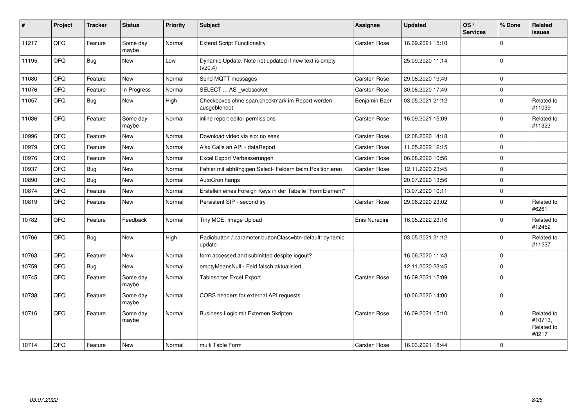| #     | Project | <b>Tracker</b> | <b>Status</b>     | Priority | <b>Subject</b>                                                     | <b>Assignee</b> | <b>Updated</b>   | OS/<br><b>Services</b> | % Done      | <b>Related</b><br><b>issues</b>              |
|-------|---------|----------------|-------------------|----------|--------------------------------------------------------------------|-----------------|------------------|------------------------|-------------|----------------------------------------------|
| 11217 | QFQ     | Feature        | Some day<br>maybe | Normal   | <b>Extend Script Functionality</b>                                 | Carsten Rose    | 16.09.2021 15:10 |                        | $\mathbf 0$ |                                              |
| 11195 | QFQ     | <b>Bug</b>     | New               | Low      | Dynamic Update: Note not updated if new text is empty<br>(v20.4)   |                 | 25.09.2020 11:14 |                        | $\mathbf 0$ |                                              |
| 11080 | QFQ     | Feature        | New               | Normal   | Send MQTT messages                                                 | Carsten Rose    | 29.08.2020 19:49 |                        | $\mathbf 0$ |                                              |
| 11076 | QFQ     | Feature        | In Progress       | Normal   | SELECT  AS _websocket                                              | Carsten Rose    | 30.08.2020 17:49 |                        | $\pmb{0}$   |                                              |
| 11057 | QFQ     | <b>Bug</b>     | New               | High     | Checkboxes ohne span.checkmark im Report werden<br>ausgeblendet    | Benjamin Baer   | 03.05.2021 21:12 |                        | $\mathbf 0$ | Related to<br>#11039                         |
| 11036 | QFQ     | Feature        | Some day<br>maybe | Normal   | inline report editor permissions                                   | Carsten Rose    | 16.09.2021 15:09 |                        | $\mathbf 0$ | Related to<br>#11323                         |
| 10996 | QFQ     | Feature        | New               | Normal   | Download video via sip: no seek                                    | Carsten Rose    | 12.08.2020 14:18 |                        | $\mathbf 0$ |                                              |
| 10979 | QFQ     | Feature        | <b>New</b>        | Normal   | Ajax Calls an API - dataReport                                     | Carsten Rose    | 11.05.2022 12:15 |                        | $\mathbf 0$ |                                              |
| 10976 | QFQ     | Feature        | <b>New</b>        | Normal   | Excel Export Verbesserungen                                        | Carsten Rose    | 06.08.2020 10:56 |                        | $\mathbf 0$ |                                              |
| 10937 | QFQ     | Bug            | <b>New</b>        | Normal   | Fehler mit abhängigen Select- Feldern beim Positionieren           | Carsten Rose    | 12.11.2020 23:45 |                        | $\mathbf 0$ |                                              |
| 10890 | QFQ     | <b>Bug</b>     | New               | Normal   | AutoCron hangs                                                     |                 | 20.07.2020 13:56 |                        | $\mathbf 0$ |                                              |
| 10874 | QFQ     | Feature        | <b>New</b>        | Normal   | Erstellen eines Foreign Keys in der Tabelle "FormElement"          |                 | 13.07.2020 10:11 |                        | $\mathbf 0$ |                                              |
| 10819 | QFQ     | Feature        | New               | Normal   | Persistent SIP - second try                                        | Carsten Rose    | 29.06.2020 23:02 |                        | $\mathbf 0$ | Related to<br>#6261                          |
| 10782 | QFQ     | Feature        | Feedback          | Normal   | Tiny MCE: Image Upload                                             | Enis Nuredini   | 16.05.2022 23:16 |                        | $\Omega$    | Related to<br>#12452                         |
| 10766 | QFQ     | <b>Bug</b>     | New               | High     | Radiobutton / parameter.buttonClass=btn-default: dynamic<br>update |                 | 03.05.2021 21:12 |                        | $\mathbf 0$ | Related to<br>#11237                         |
| 10763 | QFQ     | Feature        | New               | Normal   | form accessed and submitted despite logout?                        |                 | 16.06.2020 11:43 |                        | $\mathbf 0$ |                                              |
| 10759 | QFQ     | <b>Bug</b>     | New               | Normal   | emptyMeansNull - Feld falsch aktualisiert                          |                 | 12.11.2020 23:45 |                        | $\mathbf 0$ |                                              |
| 10745 | QFQ     | Feature        | Some day<br>maybe | Normal   | Tablesorter Excel Export                                           | Carsten Rose    | 16.09.2021 15:09 |                        | $\mathbf 0$ |                                              |
| 10738 | QFQ     | Feature        | Some day<br>maybe | Normal   | CORS headers for external API requests                             |                 | 10.06.2020 14:00 |                        | $\mathbf 0$ |                                              |
| 10716 | QFQ     | Feature        | Some day<br>maybe | Normal   | Business Logic mit Externen Skripten                               | Carsten Rose    | 16.09.2021 15:10 |                        | $\Omega$    | Related to<br>#10713,<br>Related to<br>#8217 |
| 10714 | QFQ     | Feature        | <b>New</b>        | Normal   | multi Table Form                                                   | Carsten Rose    | 16.03.2021 18:44 |                        | $\mathbf 0$ |                                              |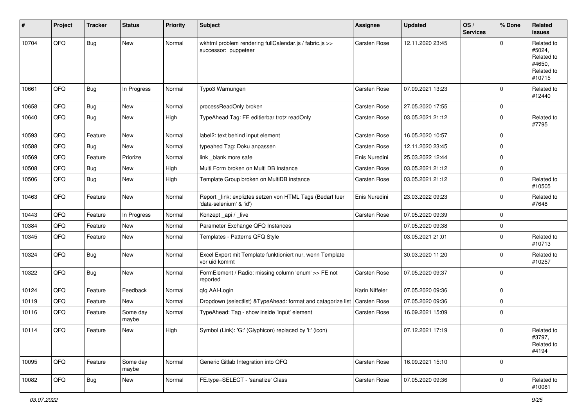| #     | Project | <b>Tracker</b> | <b>Status</b>     | <b>Priority</b> | <b>Subject</b>                                                                      | <b>Assignee</b> | <b>Updated</b>   | OS/<br><b>Services</b> | % Done      | Related<br>issues                                                    |
|-------|---------|----------------|-------------------|-----------------|-------------------------------------------------------------------------------------|-----------------|------------------|------------------------|-------------|----------------------------------------------------------------------|
| 10704 | QFQ     | <b>Bug</b>     | New               | Normal          | wkhtml problem rendering fullCalendar.js / fabric.js >><br>successor: puppeteer     | Carsten Rose    | 12.11.2020 23:45 |                        | $\Omega$    | Related to<br>#5024,<br>Related to<br>#4650,<br>Related to<br>#10715 |
| 10661 | QFQ     | <b>Bug</b>     | In Progress       | Normal          | Typo3 Warnungen                                                                     | Carsten Rose    | 07.09.2021 13:23 |                        | $\mathbf 0$ | Related to<br>#12440                                                 |
| 10658 | QFQ     | <b>Bug</b>     | New               | Normal          | processReadOnly broken                                                              | Carsten Rose    | 27.05.2020 17:55 |                        | $\mathbf 0$ |                                                                      |
| 10640 | QFQ     | Bug            | New               | High            | TypeAhead Tag: FE editierbar trotz readOnly                                         | Carsten Rose    | 03.05.2021 21:12 |                        | $\mathbf 0$ | Related to<br>#7795                                                  |
| 10593 | QFQ     | Feature        | <b>New</b>        | Normal          | label2: text behind input element                                                   | Carsten Rose    | 16.05.2020 10:57 |                        | $\mathbf 0$ |                                                                      |
| 10588 | QFQ     | <b>Bug</b>     | New               | Normal          | typeahed Tag: Doku anpassen                                                         | Carsten Rose    | 12.11.2020 23:45 |                        | $\mathbf 0$ |                                                                      |
| 10569 | QFQ     | Feature        | Priorize          | Normal          | link _blank more safe                                                               | Enis Nuredini   | 25.03.2022 12:44 |                        | $\mathbf 0$ |                                                                      |
| 10508 | QFQ     | <b>Bug</b>     | New               | High            | Multi Form broken on Multi DB Instance                                              | Carsten Rose    | 03.05.2021 21:12 |                        | $\mathbf 0$ |                                                                      |
| 10506 | QFQ     | <b>Bug</b>     | New               | High            | Template Group broken on MultiDB instance                                           | Carsten Rose    | 03.05.2021 21:12 |                        | $\mathbf 0$ | Related to<br>#10505                                                 |
| 10463 | QFQ     | Feature        | New               | Normal          | Report_link: expliztes setzen von HTML Tags (Bedarf fuer<br>'data-selenium' & 'id') | Enis Nuredini   | 23.03.2022 09:23 |                        | $\mathbf 0$ | Related to<br>#7648                                                  |
| 10443 | QFQ     | Feature        | In Progress       | Normal          | Konzept_api / _live                                                                 | Carsten Rose    | 07.05.2020 09:39 |                        | $\mathbf 0$ |                                                                      |
| 10384 | QFQ     | Feature        | New               | Normal          | Parameter Exchange QFQ Instances                                                    |                 | 07.05.2020 09:38 |                        | $\mathbf 0$ |                                                                      |
| 10345 | QFQ     | Feature        | New               | Normal          | Templates - Patterns QFQ Style                                                      |                 | 03.05.2021 21:01 |                        | $\mathbf 0$ | Related to<br>#10713                                                 |
| 10324 | QFQ     | Bug            | New               | Normal          | Excel Export mit Template funktioniert nur, wenn Template<br>vor uid kommt          |                 | 30.03.2020 11:20 |                        | $\mathbf 0$ | Related to<br>#10257                                                 |
| 10322 | QFQ     | <b>Bug</b>     | New               | Normal          | FormElement / Radio: missing column 'enum' >> FE not<br>reported                    | Carsten Rose    | 07.05.2020 09:37 |                        | $\Omega$    |                                                                      |
| 10124 | QFQ     | Feature        | Feedback          | Normal          | qfq AAI-Login                                                                       | Karin Niffeler  | 07.05.2020 09:36 |                        | $\mathbf 0$ |                                                                      |
| 10119 | QFQ     | Feature        | New               | Normal          | Dropdown (selectlist) & TypeAhead: format and catagorize list                       | Carsten Rose    | 07.05.2020 09:36 |                        | $\mathbf 0$ |                                                                      |
| 10116 | QFQ     | Feature        | Some day<br>maybe | Normal          | TypeAhead: Tag - show inside 'input' element                                        | Carsten Rose    | 16.09.2021 15:09 |                        | $\mathbf 0$ |                                                                      |
| 10114 | QFQ     | Feature        | <b>New</b>        | High            | Symbol (Link): 'G:' (Glyphicon) replaced by 'i:' (icon)                             |                 | 07.12.2021 17:19 |                        | $\mathbf 0$ | Related to<br>#3797,<br>Related to<br>#4194                          |
| 10095 | QFQ     | Feature        | Some day<br>maybe | Normal          | Generic Gitlab Integration into QFQ                                                 | Carsten Rose    | 16.09.2021 15:10 |                        | $\mathbf 0$ |                                                                      |
| 10082 | QFQ     | <b>Bug</b>     | New               | Normal          | FE.type=SELECT - 'sanatize' Class                                                   | Carsten Rose    | 07.05.2020 09:36 |                        | $\mathbf 0$ | Related to<br>#10081                                                 |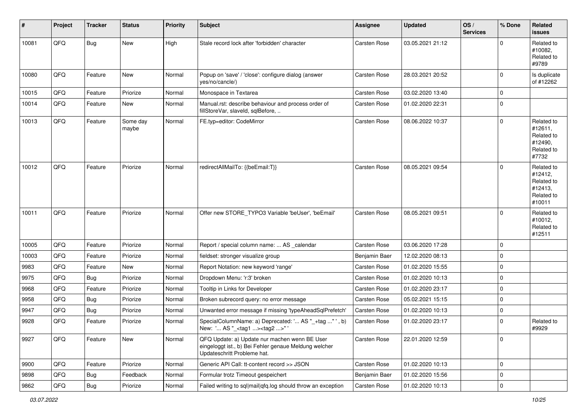| #     | Project | <b>Tracker</b> | <b>Status</b>     | <b>Priority</b> | <b>Subject</b>                                                                                                                        | <b>Assignee</b> | <b>Updated</b>   | OS/<br><b>Services</b> | % Done      | Related<br><b>issues</b>                                               |
|-------|---------|----------------|-------------------|-----------------|---------------------------------------------------------------------------------------------------------------------------------------|-----------------|------------------|------------------------|-------------|------------------------------------------------------------------------|
| 10081 | QFQ     | <b>Bug</b>     | New               | High            | Stale record lock after 'forbidden' character                                                                                         | Carsten Rose    | 03.05.2021 21:12 |                        | $\Omega$    | Related to<br>#10082,<br>Related to<br>#9789                           |
| 10080 | QFQ     | Feature        | New               | Normal          | Popup on 'save' / 'close': configure dialog (answer<br>yes/no/cancle/)                                                                | Carsten Rose    | 28.03.2021 20:52 |                        | $\mathbf 0$ | Is duplicate<br>of #12262                                              |
| 10015 | QFQ     | Feature        | Priorize          | Normal          | Monospace in Textarea                                                                                                                 | Carsten Rose    | 03.02.2020 13:40 |                        | $\mathbf 0$ |                                                                        |
| 10014 | QFQ     | Feature        | New               | Normal          | Manual.rst: describe behaviour and process order of<br>fillStoreVar, slaveId, sqlBefore,                                              | Carsten Rose    | 01.02.2020 22:31 |                        | $\mathbf 0$ |                                                                        |
| 10013 | QFQ     | Feature        | Some day<br>maybe | Normal          | FE.typ=editor: CodeMirror                                                                                                             | Carsten Rose    | 08.06.2022 10:37 |                        | $\mathbf 0$ | Related to<br>#12611,<br>Related to<br>#12490,<br>Related to<br>#7732  |
| 10012 | QFQ     | Feature        | Priorize          | Normal          | redirectAllMailTo: {{beEmail:T}}                                                                                                      | Carsten Rose    | 08.05.2021 09:54 |                        | $\Omega$    | Related to<br>#12412,<br>Related to<br>#12413,<br>Related to<br>#10011 |
| 10011 | QFQ     | Feature        | Priorize          | Normal          | Offer new STORE_TYPO3 Variable 'beUser', 'beEmail'                                                                                    | Carsten Rose    | 08.05.2021 09:51 |                        | $\mathbf 0$ | Related to<br>#10012,<br>Related to<br>#12511                          |
| 10005 | QFQ     | Feature        | Priorize          | Normal          | Report / special column name:  AS _calendar                                                                                           | Carsten Rose    | 03.06.2020 17:28 |                        | $\mathbf 0$ |                                                                        |
| 10003 | QFQ     | Feature        | Priorize          | Normal          | fieldset: stronger visualize group                                                                                                    | Benjamin Baer   | 12.02.2020 08:13 |                        | $\mathbf 0$ |                                                                        |
| 9983  | QFQ     | Feature        | New               | Normal          | Report Notation: new keyword 'range'                                                                                                  | Carsten Rose    | 01.02.2020 15:55 |                        | $\mathbf 0$ |                                                                        |
| 9975  | QFQ     | Bug            | Priorize          | Normal          | Dropdown Menu: 'r:3' broken                                                                                                           | Carsten Rose    | 01.02.2020 10:13 |                        | $\mathbf 0$ |                                                                        |
| 9968  | QFQ     | Feature        | Priorize          | Normal          | Tooltip in Links for Developer                                                                                                        | Carsten Rose    | 01.02.2020 23:17 |                        | $\mathbf 0$ |                                                                        |
| 9958  | QFQ     | <b>Bug</b>     | Priorize          | Normal          | Broken subrecord query: no error message                                                                                              | Carsten Rose    | 05.02.2021 15:15 |                        | $\mathbf 0$ |                                                                        |
| 9947  | QFQ     | Bug            | Priorize          | Normal          | Unwanted error message if missing 'typeAheadSqlPrefetch'                                                                              | Carsten Rose    | 01.02.2020 10:13 |                        | $\mathbf 0$ |                                                                        |
| 9928  | QFQ     | Feature        | Priorize          | Normal          | SpecialColumnName: a) Deprecated: ' AS "_+tag " ', b)<br>New: ' AS "_ <tag1><tag2>" '</tag2></tag1>                                   | Carsten Rose    | 01.02.2020 23:17 |                        | $\mathbf 0$ | Related to<br>#9929                                                    |
| 9927  | QFQ     | Feature        | New               | Normal          | QFQ Update: a) Update nur machen wenn BE User<br>eingeloggt ist., b) Bei Fehler genaue Meldung welcher<br>Updateschritt Probleme hat. | Carsten Rose    | 22.01.2020 12:59 |                        | $\mathbf 0$ |                                                                        |
| 9900  | QFQ     | Feature        | Priorize          | Normal          | Generic API Call: tt-content record >> JSON                                                                                           | Carsten Rose    | 01.02.2020 10:13 |                        | $\mathbf 0$ |                                                                        |
| 9898  | QFQ     | <b>Bug</b>     | Feedback          | Normal          | Formular trotz Timeout gespeichert                                                                                                    | Benjamin Baer   | 01.02.2020 15:56 |                        | $\mathbf 0$ |                                                                        |
| 9862  | QFQ     | Bug            | Priorize          | Normal          | Failed writing to sql mail qfq.log should throw an exception                                                                          | Carsten Rose    | 01.02.2020 10:13 |                        | $\mathbf 0$ |                                                                        |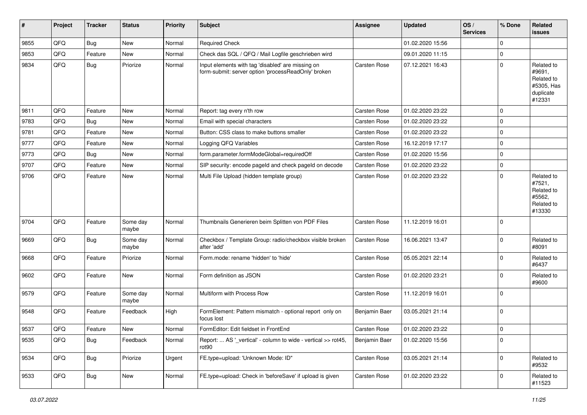| $\vert$ # | Project | <b>Tracker</b> | <b>Status</b>     | <b>Priority</b> | <b>Subject</b>                                                                                           | <b>Assignee</b>     | <b>Updated</b>   | OS/<br><b>Services</b> | % Done      | Related<br><b>issues</b>                                                |
|-----------|---------|----------------|-------------------|-----------------|----------------------------------------------------------------------------------------------------------|---------------------|------------------|------------------------|-------------|-------------------------------------------------------------------------|
| 9855      | QFQ     | Bug            | New               | Normal          | <b>Required Check</b>                                                                                    |                     | 01.02.2020 15:56 |                        | $\mathbf 0$ |                                                                         |
| 9853      | QFQ     | Feature        | New               | Normal          | Check das SQL / QFQ / Mail Logfile geschrieben wird                                                      |                     | 09.01.2020 11:15 |                        | $\mathbf 0$ |                                                                         |
| 9834      | QFQ     | Bug            | Priorize          | Normal          | Input elements with tag 'disabled' are missing on<br>form-submit: server option 'processReadOnly' broken | Carsten Rose        | 07.12.2021 16:43 |                        | $\mathbf 0$ | Related to<br>#9691,<br>Related to<br>#5305, Has<br>duplicate<br>#12331 |
| 9811      | QFQ     | Feature        | <b>New</b>        | Normal          | Report: tag every n'th row                                                                               | Carsten Rose        | 01.02.2020 23:22 |                        | $\mathbf 0$ |                                                                         |
| 9783      | QFQ     | Bug            | New               | Normal          | Email with special characters                                                                            | Carsten Rose        | 01.02.2020 23:22 |                        | $\mathbf 0$ |                                                                         |
| 9781      | QFQ     | Feature        | New               | Normal          | Button: CSS class to make buttons smaller                                                                | Carsten Rose        | 01.02.2020 23:22 |                        | $\mathbf 0$ |                                                                         |
| 9777      | QFQ     | Feature        | New               | Normal          | Logging QFQ Variables                                                                                    | Carsten Rose        | 16.12.2019 17:17 |                        | $\mathbf 0$ |                                                                         |
| 9773      | QFQ     | Bug            | New               | Normal          | form.parameter.formModeGlobal=requiredOff                                                                | Carsten Rose        | 01.02.2020 15:56 |                        | $\mathbf 0$ |                                                                         |
| 9707      | QFQ     | Feature        | <b>New</b>        | Normal          | SIP security: encode pageld and check pageld on decode                                                   | Carsten Rose        | 01.02.2020 23:22 |                        | $\pmb{0}$   |                                                                         |
| 9706      | QFQ     | Feature        | New               | Normal          | Multi File Upload (hidden template group)                                                                | Carsten Rose        | 01.02.2020 23:22 |                        | $\mathbf 0$ | Related to<br>#7521,<br>Related to<br>#5562,<br>Related to<br>#13330    |
| 9704      | QFQ     | Feature        | Some day<br>maybe | Normal          | Thumbnails Generieren beim Splitten von PDF Files                                                        | Carsten Rose        | 11.12.2019 16:01 |                        | $\mathbf 0$ |                                                                         |
| 9669      | QFQ     | <b>Bug</b>     | Some day<br>maybe | Normal          | Checkbox / Template Group: radio/checkbox visible broken<br>after 'add'                                  | Carsten Rose        | 16.06.2021 13:47 |                        | $\mathbf 0$ | Related to<br>#8091                                                     |
| 9668      | QFQ     | Feature        | Priorize          | Normal          | Form.mode: rename 'hidden' to 'hide'                                                                     | Carsten Rose        | 05.05.2021 22:14 |                        | $\mathbf 0$ | Related to<br>#6437                                                     |
| 9602      | QFQ     | Feature        | New               | Normal          | Form definition as JSON                                                                                  | Carsten Rose        | 01.02.2020 23:21 |                        | $\mathbf 0$ | Related to<br>#9600                                                     |
| 9579      | QFQ     | Feature        | Some day<br>maybe | Normal          | Multiform with Process Row                                                                               | <b>Carsten Rose</b> | 11.12.2019 16:01 |                        | $\mathbf 0$ |                                                                         |
| 9548      | QFQ     | Feature        | Feedback          | High            | FormElement: Pattern mismatch - optional report only on<br>focus lost                                    | Benjamin Baer       | 03.05.2021 21:14 |                        | $\mathbf 0$ |                                                                         |
| 9537      | QFQ     | Feature        | <b>New</b>        | Normal          | FormEditor: Edit fieldset in FrontEnd                                                                    | Carsten Rose        | 01.02.2020 23:22 |                        | $\mathbf 0$ |                                                                         |
| 9535      | QFQ     | Bug            | Feedback          | Normal          | Report:  AS '_vertical' - column to wide - vertical >> rot45,<br>rot <sub>90</sub>                       | Benjamin Baer       | 01.02.2020 15:56 |                        | $\pmb{0}$   |                                                                         |
| 9534      | QFQ     | <b>Bug</b>     | Priorize          | Urgent          | FE.type=upload: 'Unknown Mode: ID"                                                                       | Carsten Rose        | 03.05.2021 21:14 |                        | $\mathbf 0$ | Related to<br>#9532                                                     |
| 9533      | QFQ     | <b>Bug</b>     | New               | Normal          | FE.type=upload: Check in 'beforeSave' if upload is given                                                 | Carsten Rose        | 01.02.2020 23:22 |                        | 0           | Related to<br>#11523                                                    |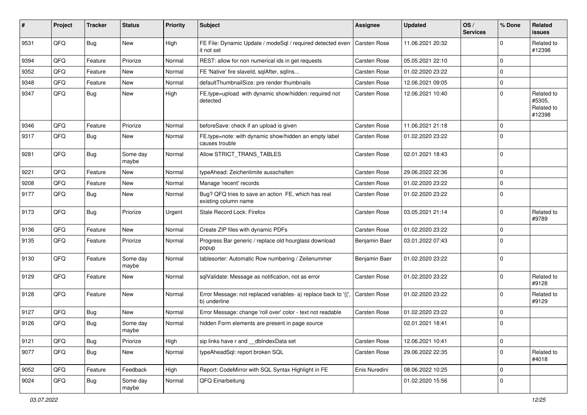| #    | Project | <b>Tracker</b> | <b>Status</b>     | <b>Priority</b> | Subject                                                                                 | Assignee            | <b>Updated</b>   | OS/<br><b>Services</b> | % Done              | Related<br><b>issues</b>                     |
|------|---------|----------------|-------------------|-----------------|-----------------------------------------------------------------------------------------|---------------------|------------------|------------------------|---------------------|----------------------------------------------|
| 9531 | QFQ     | Bug            | New               | High            | FE File: Dynamic Update / modeSql / required detected even   Carsten Rose<br>it not set |                     | 11.06.2021 20:32 |                        | $\mathbf 0$         | Related to<br>#12398                         |
| 9394 | QFQ     | Feature        | Priorize          | Normal          | REST: allow for non numerical ids in get requests                                       | Carsten Rose        | 05.05.2021 22:10 |                        | $\mathbf 0$         |                                              |
| 9352 | QFQ     | Feature        | New               | Normal          | FE 'Native' fire slaveld, sqlAfter, sqlIns                                              | Carsten Rose        | 01.02.2020 23:22 |                        | $\mathbf 0$         |                                              |
| 9348 | QFQ     | Feature        | New               | Normal          | defaultThumbnailSize: pre render thumbnails                                             | Carsten Rose        | 12.06.2021 09:05 |                        | $\mathbf 0$         |                                              |
| 9347 | QFQ     | Bug            | New               | High            | FE.type=upload with dynamic show/hidden: required not<br>detected                       | Carsten Rose        | 12.06.2021 10:40 |                        | $\mathbf 0$         | Related to<br>#5305,<br>Related to<br>#12398 |
| 9346 | QFQ     | Feature        | Priorize          | Normal          | beforeSave: check if an upload is given                                                 | Carsten Rose        | 11.06.2021 21:18 |                        | $\mathbf 0$         |                                              |
| 9317 | QFQ     | Bug            | New               | Normal          | FE.type=note: with dynamic show/hidden an empty label<br>causes trouble                 | Carsten Rose        | 01.02.2020 23:22 |                        | $\mathbf 0$         |                                              |
| 9281 | QFQ     | Bug            | Some day<br>maybe | Normal          | Allow STRICT_TRANS_TABLES                                                               | Carsten Rose        | 02.01.2021 18:43 |                        | $\mathbf 0$         |                                              |
| 9221 | QFQ     | Feature        | <b>New</b>        | Normal          | typeAhead: Zeichenlimite ausschalten                                                    | Carsten Rose        | 29.06.2022 22:36 |                        | $\mathbf 0$         |                                              |
| 9208 | QFQ     | Feature        | New               | Normal          | Manage 'recent' records                                                                 | Carsten Rose        | 01.02.2020 23:22 |                        | $\mathbf 0$         |                                              |
| 9177 | QFQ     | Bug            | New               | Normal          | Bug? QFQ tries to save an action FE, which has real<br>existing column name             | Carsten Rose        | 01.02.2020 23:22 |                        | $\mathbf 0$         |                                              |
| 9173 | QFQ     | Bug            | Priorize          | Urgent          | Stale Record Lock: Firefox                                                              | Carsten Rose        | 03.05.2021 21:14 |                        | $\mathbf 0$         | Related to<br>#9789                          |
| 9136 | QFQ     | Feature        | New               | Normal          | Create ZIP files with dynamic PDFs                                                      | Carsten Rose        | 01.02.2020 23:22 |                        | $\mathbf 0$         |                                              |
| 9135 | QFQ     | Feature        | Priorize          | Normal          | Progress Bar generic / replace old hourglass download<br>popup                          | Benjamin Baer       | 03.01.2022 07:43 |                        | $\mathbf 0$         |                                              |
| 9130 | QFQ     | Feature        | Some day<br>maybe | Normal          | tablesorter: Automatic Row numbering / Zeilenummer                                      | Benjamin Baer       | 01.02.2020 23:22 |                        | $\mathbf 0$         |                                              |
| 9129 | QFQ     | Feature        | <b>New</b>        | Normal          | sqlValidate: Message as notification, not as error                                      | Carsten Rose        | 01.02.2020 23:22 |                        | $\mathbf 0$         | Related to<br>#9128                          |
| 9128 | QFQ     | Feature        | New               | Normal          | Error Message: not replaced variables- a) replace back to '{{',<br>b) underline         | <b>Carsten Rose</b> | 01.02.2020 23:22 |                        | $\mathbf 0$         | Related to<br>#9129                          |
| 9127 | QFQ     | Bug            | New               | Normal          | Error Message: change 'roll over' color - text not readable                             | Carsten Rose        | 01.02.2020 23:22 |                        | $\mathbf 0$         |                                              |
| 9126 | QFQ     | <b>Bug</b>     | Some day<br>maybe | Normal          | hidden Form elements are present in page source                                         |                     | 02.01.2021 18:41 |                        | $\mathbf 0$         |                                              |
| 9121 | QFQ     | Bug            | Priorize          | High            | sip links have r and __dbIndexData set                                                  | Carsten Rose        | 12.06.2021 10:41 |                        | $\mathsf{O}\xspace$ |                                              |
| 9077 | QFQ     | <b>Bug</b>     | New               | Normal          | typeAheadSql: report broken SQL                                                         | Carsten Rose        | 29.06.2022 22:35 |                        | $\mathbf 0$         | Related to<br>#4018                          |
| 9052 | QFQ     | Feature        | Feedback          | High            | Report: CodeMirror with SQL Syntax Highlight in FE                                      | Enis Nuredini       | 08.06.2022 10:25 |                        | $\mathbf 0$         |                                              |
| 9024 | QFQ     | <b>Bug</b>     | Some day<br>maybe | Normal          | QFQ Einarbeitung                                                                        |                     | 01.02.2020 15:56 |                        | $\mathbf 0$         |                                              |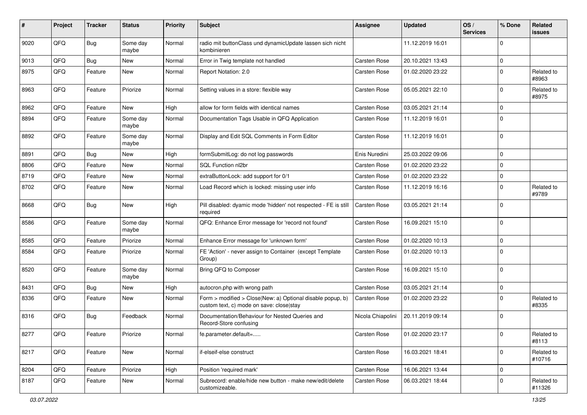| ∦    | Project | <b>Tracker</b> | <b>Status</b>     | <b>Priority</b> | Subject                                                                                                | <b>Assignee</b>     | <b>Updated</b>   | OS/<br><b>Services</b> | % Done      | Related<br>issues    |
|------|---------|----------------|-------------------|-----------------|--------------------------------------------------------------------------------------------------------|---------------------|------------------|------------------------|-------------|----------------------|
| 9020 | QFQ     | Bug            | Some day<br>maybe | Normal          | radio mit buttonClass und dynamicUpdate lassen sich nicht<br>kombinieren                               |                     | 11.12.2019 16:01 |                        | $\mathbf 0$ |                      |
| 9013 | QFQ     | Bug            | <b>New</b>        | Normal          | Error in Twig template not handled                                                                     | Carsten Rose        | 20.10.2021 13:43 |                        | $\mathbf 0$ |                      |
| 8975 | QFQ     | Feature        | New               | Normal          | Report Notation: 2.0                                                                                   | Carsten Rose        | 01.02.2020 23:22 |                        | $\mathbf 0$ | Related to<br>#8963  |
| 8963 | QFQ     | Feature        | Priorize          | Normal          | Setting values in a store: flexible way                                                                | Carsten Rose        | 05.05.2021 22:10 |                        | $\mathbf 0$ | Related to<br>#8975  |
| 8962 | QFQ     | Feature        | New               | High            | allow for form fields with identical names                                                             | Carsten Rose        | 03.05.2021 21:14 |                        | $\mathbf 0$ |                      |
| 8894 | QFQ     | Feature        | Some day<br>maybe | Normal          | Documentation Tags Usable in QFQ Application                                                           | Carsten Rose        | 11.12.2019 16:01 |                        | $\mathbf 0$ |                      |
| 8892 | QFQ     | Feature        | Some day<br>maybe | Normal          | Display and Edit SQL Comments in Form Editor                                                           | Carsten Rose        | 11.12.2019 16:01 |                        | $\mathbf 0$ |                      |
| 8891 | QFQ     | Bug            | <b>New</b>        | High            | formSubmitLog: do not log passwords                                                                    | Enis Nuredini       | 25.03.2022 09:06 |                        | $\mathbf 0$ |                      |
| 8806 | QFQ     | Feature        | <b>New</b>        | Normal          | SQL Function nl2br                                                                                     | Carsten Rose        | 01.02.2020 23:22 |                        | $\mathbf 0$ |                      |
| 8719 | QFQ     | Feature        | <b>New</b>        | Normal          | extraButtonLock: add support for 0/1                                                                   | Carsten Rose        | 01.02.2020 23:22 |                        | $\mathbf 0$ |                      |
| 8702 | QFQ     | Feature        | New               | Normal          | Load Record which is locked: missing user info                                                         | Carsten Rose        | 11.12.2019 16:16 |                        | $\mathbf 0$ | Related to<br>#9789  |
| 8668 | QFQ     | Bug            | <b>New</b>        | High            | Pill disabled: dyamic mode 'hidden' not respected - FE is still<br>required                            | <b>Carsten Rose</b> | 03.05.2021 21:14 |                        | $\mathbf 0$ |                      |
| 8586 | QFQ     | Feature        | Some day<br>maybe | Normal          | QFQ: Enhance Error message for 'record not found'                                                      | Carsten Rose        | 16.09.2021 15:10 |                        | $\mathbf 0$ |                      |
| 8585 | QFQ     | Feature        | Priorize          | Normal          | Enhance Error message for 'unknown form'                                                               | Carsten Rose        | 01.02.2020 10:13 |                        | $\mathbf 0$ |                      |
| 8584 | QFQ     | Feature        | Priorize          | Normal          | FE 'Action' - never assign to Container (except Template<br>Group)                                     | Carsten Rose        | 01.02.2020 10:13 |                        | $\mathbf 0$ |                      |
| 8520 | QFQ     | Feature        | Some day<br>maybe | Normal          | Bring QFQ to Composer                                                                                  | Carsten Rose        | 16.09.2021 15:10 |                        | $\mathbf 0$ |                      |
| 8431 | QFQ     | Bug            | <b>New</b>        | High            | autocron.php with wrong path                                                                           | Carsten Rose        | 03.05.2021 21:14 |                        | $\mathbf 0$ |                      |
| 8336 | QFQ     | Feature        | New               | Normal          | Form > modified > Close New: a) Optional disable popup, b)<br>custom text, c) mode on save: close stay | Carsten Rose        | 01.02.2020 23:22 |                        | $\mathbf 0$ | Related to<br>#8335  |
| 8316 | QFQ     | Bug            | Feedback          | Normal          | Documentation/Behaviour for Nested Queries and<br>Record-Store confusing                               | Nicola Chiapolini   | 20.11.2019 09:14 |                        | $\mathbf 0$ |                      |
| 8277 | QFQ     | Feature        | Priorize          | Normal          | te.parameter.default=                                                                                  | Carsten Rose        | 01.02.2020 23:17 |                        | 0           | Related to<br>#8113  |
| 8217 | QFQ     | Feature        | New               | Normal          | if-elseif-else construct                                                                               | Carsten Rose        | 16.03.2021 18:41 |                        | $\mathbf 0$ | Related to<br>#10716 |
| 8204 | QFQ     | Feature        | Priorize          | High            | Position 'required mark'                                                                               | Carsten Rose        | 16.06.2021 13:44 |                        | $\mathbf 0$ |                      |
| 8187 | QFQ     | Feature        | New               | Normal          | Subrecord: enable/hide new button - make new/edit/delete<br>customizeable.                             | Carsten Rose        | 06.03.2021 18:44 |                        | $\mathbf 0$ | Related to<br>#11326 |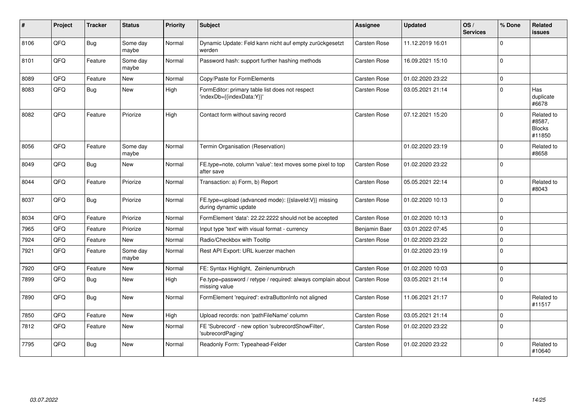| ∦    | Project | <b>Tracker</b> | <b>Status</b>     | <b>Priority</b> | Subject                                                                        | <b>Assignee</b>     | <b>Updated</b>   | OS/<br><b>Services</b> | % Done      | <b>Related</b><br>issues                        |
|------|---------|----------------|-------------------|-----------------|--------------------------------------------------------------------------------|---------------------|------------------|------------------------|-------------|-------------------------------------------------|
| 8106 | QFQ     | Bug            | Some day<br>maybe | Normal          | Dynamic Update: Feld kann nicht auf empty zurückgesetzt<br>werden              | Carsten Rose        | 11.12.2019 16:01 |                        | $\Omega$    |                                                 |
| 8101 | QFQ     | Feature        | Some day<br>maybe | Normal          | Password hash: support further hashing methods                                 | Carsten Rose        | 16.09.2021 15:10 |                        | $\mathbf 0$ |                                                 |
| 8089 | QFQ     | Feature        | New               | Normal          | Copy/Paste for FormElements                                                    | Carsten Rose        | 01.02.2020 23:22 |                        | $\Omega$    |                                                 |
| 8083 | QFQ     | Bug            | <b>New</b>        | High            | FormEditor: primary table list does not respect<br>'indexDb={{indexData:Y}}'   | Carsten Rose        | 03.05.2021 21:14 |                        | $\Omega$    | Has<br>duplicate<br>#6678                       |
| 8082 | QFQ     | Feature        | Priorize          | High            | Contact form without saving record                                             | Carsten Rose        | 07.12.2021 15:20 |                        | $\Omega$    | Related to<br>#8587,<br><b>Blocks</b><br>#11850 |
| 8056 | QFQ     | Feature        | Some day<br>maybe | Normal          | Termin Organisation (Reservation)                                              |                     | 01.02.2020 23:19 |                        | $\Omega$    | Related to<br>#8658                             |
| 8049 | QFQ     | <b>Bug</b>     | New               | Normal          | FE.type=note, column 'value': text moves some pixel to top<br>after save       | Carsten Rose        | 01.02.2020 23:22 |                        | $\Omega$    |                                                 |
| 8044 | QFQ     | Feature        | Priorize          | Normal          | Transaction: a) Form, b) Report                                                | Carsten Rose        | 05.05.2021 22:14 |                        | $\Omega$    | Related to<br>#8043                             |
| 8037 | QFQ     | Bug            | Priorize          | Normal          | FE.type=upload (advanced mode): {{slaveld:V}} missing<br>during dynamic update | Carsten Rose        | 01.02.2020 10:13 |                        | $\Omega$    |                                                 |
| 8034 | QFQ     | Feature        | Priorize          | Normal          | FormElement 'data': 22.22.2222 should not be accepted                          | Carsten Rose        | 01.02.2020 10:13 |                        | $\Omega$    |                                                 |
| 7965 | QFQ     | Feature        | Priorize          | Normal          | Input type 'text' with visual format - currency                                | Benjamin Baer       | 03.01.2022 07:45 |                        | $\mathbf 0$ |                                                 |
| 7924 | QFQ     | Feature        | New               | Normal          | Radio/Checkbox with Tooltip                                                    | Carsten Rose        | 01.02.2020 23:22 |                        | $\mathbf 0$ |                                                 |
| 7921 | QFQ     | Feature        | Some day<br>maybe | Normal          | Rest API Export: URL kuerzer machen                                            |                     | 01.02.2020 23:19 |                        | $\Omega$    |                                                 |
| 7920 | QFQ     | Feature        | New               | Normal          | FE: Syntax Highlight, Zeinlenumbruch                                           | Carsten Rose        | 01.02.2020 10:03 |                        | $\mathbf 0$ |                                                 |
| 7899 | QFQ     | <b>Bug</b>     | New               | High            | Fe.type=password / retype / required: always complain about<br>missing value   | <b>Carsten Rose</b> | 03.05.2021 21:14 |                        | $\Omega$    |                                                 |
| 7890 | QFQ     | <b>Bug</b>     | <b>New</b>        | Normal          | FormElement 'required': extraButtonInfo not aligned                            | Carsten Rose        | 11.06.2021 21:17 |                        | $\Omega$    | Related to<br>#11517                            |
| 7850 | QFQ     | Feature        | <b>New</b>        | High            | Upload records: non 'pathFileName' column                                      | <b>Carsten Rose</b> | 03.05.2021 21:14 |                        | $\Omega$    |                                                 |
| 7812 | QFQ     | Feature        | New               | Normal          | FE 'Subrecord' - new option 'subrecordShowFilter',<br>'subrecordPaging'        | Carsten Rose        | 01.02.2020 23:22 |                        | $\Omega$    |                                                 |
| 7795 | QFQ     | Bug            | <b>New</b>        | Normal          | Readonly Form: Typeahead-Felder                                                | Carsten Rose        | 01.02.2020 23:22 |                        | $\Omega$    | Related to<br>#10640                            |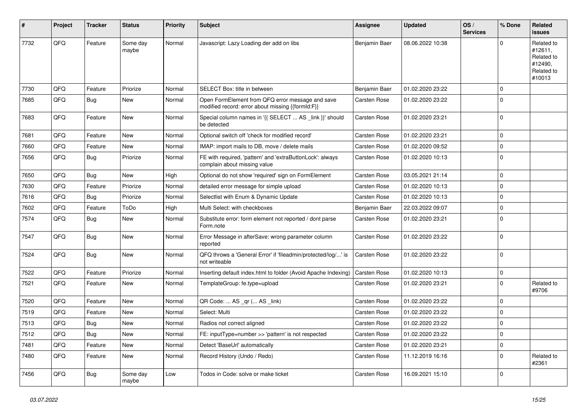| $\sharp$ | Project | <b>Tracker</b> | <b>Status</b>     | <b>Priority</b> | <b>Subject</b>                                                                                        | <b>Assignee</b> | <b>Updated</b>   | OS/<br><b>Services</b> | % Done      | Related<br><b>issues</b>                                               |
|----------|---------|----------------|-------------------|-----------------|-------------------------------------------------------------------------------------------------------|-----------------|------------------|------------------------|-------------|------------------------------------------------------------------------|
| 7732     | QFQ     | Feature        | Some day<br>maybe | Normal          | Javascript: Lazy Loading der add on libs                                                              | Benjamin Baer   | 08.06.2022 10:38 |                        | $\Omega$    | Related to<br>#12611,<br>Related to<br>#12490,<br>Related to<br>#10013 |
| 7730     | QFQ     | Feature        | Priorize          | Normal          | SELECT Box: title in between                                                                          | Benjamin Baer   | 01.02.2020 23:22 |                        | $\mathbf 0$ |                                                                        |
| 7685     | QFQ     | Bug            | New               | Normal          | Open FormElement from QFQ error message and save<br>modified record: error about missing {{formId:F}} | Carsten Rose    | 01.02.2020 23:22 |                        | $\mathbf 0$ |                                                                        |
| 7683     | QFQ     | Feature        | New               | Normal          | Special column names in '{{ SELECT  AS _link }}' should<br>be detected                                | Carsten Rose    | 01.02.2020 23:21 |                        | $\mathbf 0$ |                                                                        |
| 7681     | QFQ     | Feature        | New               | Normal          | Optional switch off 'check for modified record'                                                       | Carsten Rose    | 01.02.2020 23:21 |                        | $\pmb{0}$   |                                                                        |
| 7660     | QFQ     | Feature        | New               | Normal          | IMAP: import mails to DB, move / delete mails                                                         | Carsten Rose    | 01.02.2020 09:52 |                        | $\mathbf 0$ |                                                                        |
| 7656     | QFQ     | <b>Bug</b>     | Priorize          | Normal          | FE with required, 'pattern' and 'extraButtonLock': always<br>complain about missing value             | Carsten Rose    | 01.02.2020 10:13 |                        | $\mathbf 0$ |                                                                        |
| 7650     | QFQ     | <b>Bug</b>     | New               | High            | Optional do not show 'required' sign on FormElement                                                   | Carsten Rose    | 03.05.2021 21:14 |                        | $\mathbf 0$ |                                                                        |
| 7630     | QFQ     | Feature        | Priorize          | Normal          | detailed error message for simple upload                                                              | Carsten Rose    | 01.02.2020 10:13 |                        | $\mathbf 0$ |                                                                        |
| 7616     | QFQ     | <b>Bug</b>     | Priorize          | Normal          | Selectlist with Enum & Dynamic Update                                                                 | Carsten Rose    | 01.02.2020 10:13 |                        | $\mathbf 0$ |                                                                        |
| 7602     | QFQ     | Feature        | ToDo              | High            | Multi Select: with checkboxes                                                                         | Benjamin Baer   | 22.03.2022 09:07 |                        | $\mathbf 0$ |                                                                        |
| 7574     | QFQ     | Bug            | New               | Normal          | Substitute error: form element not reported / dont parse<br>Form.note                                 | Carsten Rose    | 01.02.2020 23:21 |                        | $\mathbf 0$ |                                                                        |
| 7547     | QFQ     | Bug            | New               | Normal          | Error Message in afterSave: wrong parameter column<br>reported                                        | Carsten Rose    | 01.02.2020 23:22 |                        | $\mathbf 0$ |                                                                        |
| 7524     | QFQ     | Bug            | <b>New</b>        | Normal          | QFQ throws a 'General Error' if 'fileadmin/protected/log/' is<br>not writeable                        | Carsten Rose    | 01.02.2020 23:22 |                        | $\mathbf 0$ |                                                                        |
| 7522     | QFQ     | Feature        | Priorize          | Normal          | Inserting default index.html to folder (Avoid Apache Indexing)                                        | Carsten Rose    | 01.02.2020 10:13 |                        | $\mathbf 0$ |                                                                        |
| 7521     | QFQ     | Feature        | New               | Normal          | TemplateGroup: fe.type=upload                                                                         | Carsten Rose    | 01.02.2020 23:21 |                        | $\mathbf 0$ | Related to<br>#9706                                                    |
| 7520     | QFQ     | Feature        | <b>New</b>        | Normal          | QR Code:  AS _qr ( AS _link)                                                                          | Carsten Rose    | 01.02.2020 23:22 |                        | $\mathbf 0$ |                                                                        |
| 7519     | QFQ     | Feature        | New               | Normal          | Select: Multi                                                                                         | Carsten Rose    | 01.02.2020 23:22 |                        | $\mathbf 0$ |                                                                        |
| 7513     | QFQ     | <b>Bug</b>     | New               | Normal          | Radios not correct aligned                                                                            | Carsten Rose    | 01.02.2020 23:22 |                        | $\mathbf 0$ |                                                                        |
| 7512     | QFQ     | Bug            | <b>New</b>        | Normal          | FE: inputType=number >> 'pattern' is not respected                                                    | Carsten Rose    | 01.02.2020 23:22 |                        | 0           |                                                                        |
| 7481     | QFQ     | Feature        | New               | Normal          | Detect 'BaseUrl' automatically                                                                        | Carsten Rose    | 01.02.2020 23:21 |                        | $\pmb{0}$   |                                                                        |
| 7480     | QFQ     | Feature        | New               | Normal          | Record History (Undo / Redo)                                                                          | Carsten Rose    | 11.12.2019 16:16 |                        | $\mathbf 0$ | Related to<br>#2361                                                    |
| 7456     | QFQ     | <b>Bug</b>     | Some day<br>maybe | Low             | Todos in Code: solve or make ticket                                                                   | Carsten Rose    | 16.09.2021 15:10 |                        | 0           |                                                                        |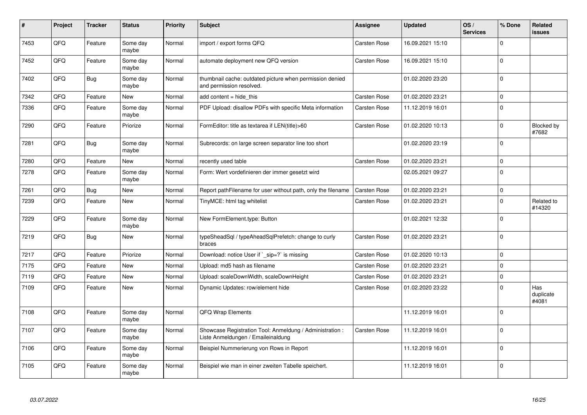| #    | Project | <b>Tracker</b> | <b>Status</b>     | <b>Priority</b> | <b>Subject</b>                                                                                 | <b>Assignee</b> | <b>Updated</b>   | OS/<br><b>Services</b> | % Done              | Related<br><b>issues</b>  |
|------|---------|----------------|-------------------|-----------------|------------------------------------------------------------------------------------------------|-----------------|------------------|------------------------|---------------------|---------------------------|
| 7453 | QFQ     | Feature        | Some day<br>maybe | Normal          | import / export forms QFQ                                                                      | Carsten Rose    | 16.09.2021 15:10 |                        | $\Omega$            |                           |
| 7452 | QFQ     | Feature        | Some day<br>maybe | Normal          | automate deployment new QFQ version                                                            | Carsten Rose    | 16.09.2021 15:10 |                        | $\mathbf 0$         |                           |
| 7402 | QFQ     | <b>Bug</b>     | Some day<br>maybe | Normal          | thumbnail cache: outdated picture when permission denied<br>and permission resolved.           |                 | 01.02.2020 23:20 |                        | $\mathbf 0$         |                           |
| 7342 | QFQ     | Feature        | New               | Normal          | add content = hide this                                                                        | Carsten Rose    | 01.02.2020 23:21 |                        | $\mathbf 0$         |                           |
| 7336 | QFQ     | Feature        | Some day<br>maybe | Normal          | PDF Upload: disallow PDFs with specific Meta information                                       | Carsten Rose    | 11.12.2019 16:01 |                        | $\mathbf 0$         |                           |
| 7290 | QFQ     | Feature        | Priorize          | Normal          | FormEditor: title as textarea if LEN(title)>60                                                 | Carsten Rose    | 01.02.2020 10:13 |                        | $\mathbf 0$         | Blocked by<br>#7682       |
| 7281 | QFQ     | <b>Bug</b>     | Some day<br>maybe | Normal          | Subrecords: on large screen separator line too short                                           |                 | 01.02.2020 23:19 |                        | $\mathbf 0$         |                           |
| 7280 | QFQ     | Feature        | <b>New</b>        | Normal          | recently used table                                                                            | Carsten Rose    | 01.02.2020 23:21 |                        | $\mathsf{O}\xspace$ |                           |
| 7278 | QFQ     | Feature        | Some day<br>maybe | Normal          | Form: Wert vordefinieren der immer gesetzt wird                                                |                 | 02.05.2021 09:27 |                        | $\mathbf 0$         |                           |
| 7261 | QFQ     | <b>Bug</b>     | <b>New</b>        | Normal          | Report pathFilename for user without path, only the filename                                   | Carsten Rose    | 01.02.2020 23:21 |                        | $\mathsf{O}\xspace$ |                           |
| 7239 | QFQ     | Feature        | <b>New</b>        | Normal          | TinyMCE: html tag whitelist                                                                    | Carsten Rose    | 01.02.2020 23:21 |                        | $\mathbf 0$         | Related to<br>#14320      |
| 7229 | QFQ     | Feature        | Some day<br>maybe | Normal          | New FormElement.type: Button                                                                   |                 | 01.02.2021 12:32 |                        | $\mathbf 0$         |                           |
| 7219 | QFQ     | <b>Bug</b>     | <b>New</b>        | Normal          | typeSheadSql / typeAheadSqlPrefetch: change to curly<br>braces                                 | Carsten Rose    | 01.02.2020 23:21 |                        | $\mathbf 0$         |                           |
| 7217 | QFQ     | Feature        | Priorize          | Normal          | Download: notice User if `_sip=?` is missing                                                   | Carsten Rose    | 01.02.2020 10:13 |                        | $\Omega$            |                           |
| 7175 | QFQ     | Feature        | New               | Normal          | Upload: md5 hash as filename                                                                   | Carsten Rose    | 01.02.2020 23:21 |                        | $\mathbf 0$         |                           |
| 7119 | QFQ     | Feature        | <b>New</b>        | Normal          | Upload: scaleDownWidth, scaleDownHeight                                                        | Carsten Rose    | 01.02.2020 23:21 |                        | $\mathbf 0$         |                           |
| 7109 | QFQ     | Feature        | <b>New</b>        | Normal          | Dynamic Updates: row/element hide                                                              | Carsten Rose    | 01.02.2020 23:22 |                        | $\mathbf 0$         | Has<br>duplicate<br>#4081 |
| 7108 | QFQ     | Feature        | Some day<br>maybe | Normal          | QFQ Wrap Elements                                                                              |                 | 11.12.2019 16:01 |                        | $\mathbf 0$         |                           |
| 7107 | QFQ     | Feature        | Some day<br>maybe | Normal          | Showcase Registration Tool: Anmeldung / Administration :<br>Liste Anmeldungen / Emaileinaldung | Carsten Rose    | 11.12.2019 16:01 |                        | $\mathbf 0$         |                           |
| 7106 | QFQ     | Feature        | Some day<br>maybe | Normal          | Beispiel Nummerierung von Rows in Report                                                       |                 | 11.12.2019 16:01 |                        | $\mathbf 0$         |                           |
| 7105 | QFQ     | Feature        | Some day<br>maybe | Normal          | Beispiel wie man in einer zweiten Tabelle speichert.                                           |                 | 11.12.2019 16:01 |                        | $\mathbf 0$         |                           |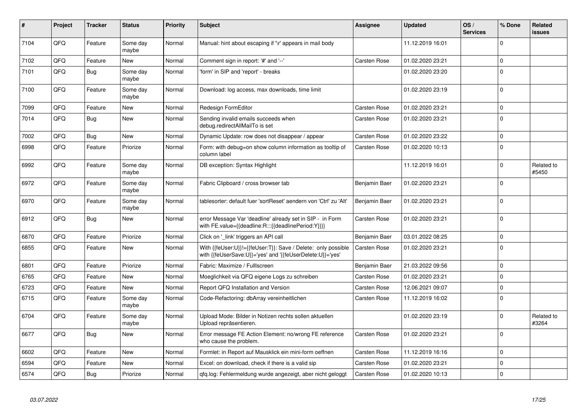| #    | Project | <b>Tracker</b> | <b>Status</b>     | <b>Priority</b> | <b>Subject</b>                                                                                                             | Assignee            | <b>Updated</b>   | OS/<br><b>Services</b> | % Done       | Related<br>issues   |
|------|---------|----------------|-------------------|-----------------|----------------------------------------------------------------------------------------------------------------------------|---------------------|------------------|------------------------|--------------|---------------------|
| 7104 | QFQ     | Feature        | Some day<br>maybe | Normal          | Manual: hint about escaping if '\r' appears in mail body                                                                   |                     | 11.12.2019 16:01 |                        | $\Omega$     |                     |
| 7102 | QFQ     | Feature        | <b>New</b>        | Normal          | Comment sign in report: '#' and '--'                                                                                       | <b>Carsten Rose</b> | 01.02.2020 23:21 |                        | $\mathbf 0$  |                     |
| 7101 | QFQ     | <b>Bug</b>     | Some day<br>maybe | Normal          | 'form' in SIP and 'report' - breaks                                                                                        |                     | 01.02.2020 23:20 |                        | $\Omega$     |                     |
| 7100 | QFQ     | Feature        | Some day<br>maybe | Normal          | Download: log access, max downloads, time limit                                                                            |                     | 01.02.2020 23:19 |                        | l o          |                     |
| 7099 | QFQ     | Feature        | <b>New</b>        | Normal          | Redesign FormEditor                                                                                                        | Carsten Rose        | 01.02.2020 23:21 |                        | $\mathbf 0$  |                     |
| 7014 | QFQ     | <b>Bug</b>     | <b>New</b>        | Normal          | Sending invalid emails succeeds when<br>debug.redirectAllMailTo is set                                                     | Carsten Rose        | 01.02.2020 23:21 |                        | $\Omega$     |                     |
| 7002 | QFQ     | <b>Bug</b>     | New               | Normal          | Dynamic Update: row does not disappear / appear                                                                            | Carsten Rose        | 01.02.2020 23:22 |                        | $\Omega$     |                     |
| 6998 | QFQ     | Feature        | Priorize          | Normal          | Form: with debug=on show column information as tooltip of<br>column label                                                  | Carsten Rose        | 01.02.2020 10:13 |                        | $\Omega$     |                     |
| 6992 | QFQ     | Feature        | Some day<br>maybe | Normal          | DB exception: Syntax Highlight                                                                                             |                     | 11.12.2019 16:01 |                        | $\mathbf 0$  | Related to<br>#5450 |
| 6972 | QFQ     | Feature        | Some day<br>maybe | Normal          | Fabric Clipboard / cross browser tab                                                                                       | Benjamin Baer       | 01.02.2020 23:21 |                        | $\mathbf{0}$ |                     |
| 6970 | QFQ     | Feature        | Some day<br>maybe | Normal          | tablesorter: default fuer 'sortReset' aendern von 'Ctrl' zu 'Alt'                                                          | Benjamin Baer       | 01.02.2020 23:21 |                        | $\mathbf 0$  |                     |
| 6912 | QFQ     | Bug            | New               | Normal          | error Message Var 'deadline' already set in SIP - in Form<br>with FE.value={{deadline:R:::{{deadlinePeriod:Y}}}}           | Carsten Rose        | 01.02.2020 23:21 |                        | l 0          |                     |
| 6870 | QFQ     | Feature        | Priorize          | Normal          | Click on '_link' triggers an API call                                                                                      | Benjamin Baer       | 03.01.2022 08:25 |                        | $\mathbf 0$  |                     |
| 6855 | QFQ     | Feature        | New               | Normal          | With {{feUser:U}}!={{feUser:T}}: Save / Delete: only possible<br>with {{feUserSave:U}}='yes' and '{{feUserDelete:U}}='yes' | Carsten Rose        | 01.02.2020 23:21 |                        | I٥           |                     |
| 6801 | QFQ     | Feature        | Priorize          | Normal          | Fabric: Maximize / FullIscreen                                                                                             | Benjamin Baer       | 21.03.2022 09:56 |                        | $\Omega$     |                     |
| 6765 | QFQ     | Feature        | <b>New</b>        | Normal          | Moeglichkeit via QFQ eigene Logs zu schreiben                                                                              | Carsten Rose        | 01.02.2020 23:21 |                        | l 0          |                     |
| 6723 | QFQ     | Feature        | <b>New</b>        | Normal          | Report QFQ Installation and Version                                                                                        | <b>Carsten Rose</b> | 12.06.2021 09:07 |                        | $\mathbf 0$  |                     |
| 6715 | QFQ     | Feature        | Some day<br>maybe | Normal          | Code-Refactoring: dbArray vereinheitlichen                                                                                 | Carsten Rose        | 11.12.2019 16:02 |                        | I٥           |                     |
| 6704 | QFQ     | Feature        | Some dav<br>maybe | Normal          | Upload Mode: Bilder in Notizen rechts sollen aktuellen<br>Upload repräsentieren.                                           |                     | 01.02.2020 23:19 |                        | $\Omega$     | Related to<br>#3264 |
| 6677 | QFQ     | <b>Bug</b>     | <b>New</b>        | Normal          | Error message FE Action Element: no/wrong FE reference<br>who cause the problem.                                           | Carsten Rose        | 01.02.2020 23:21 |                        | l 0          |                     |
| 6602 | QFQ     | Feature        | <b>New</b>        | Normal          | Formlet: in Report auf Mausklick ein mini-form oeffnen                                                                     | Carsten Rose        | 11.12.2019 16:16 |                        | $\Omega$     |                     |
| 6594 | QFQ     | Feature        | New               | Normal          | Excel: on download, check if there is a valid sip                                                                          | Carsten Rose        | 01.02.2020 23:21 |                        | l 0          |                     |
| 6574 | QFQ     | <b>Bug</b>     | Priorize          | Normal          | gfg.log: Fehlermeldung wurde angezeigt, aber nicht geloggt                                                                 | Carsten Rose        | 01.02.2020 10:13 |                        | $\Omega$     |                     |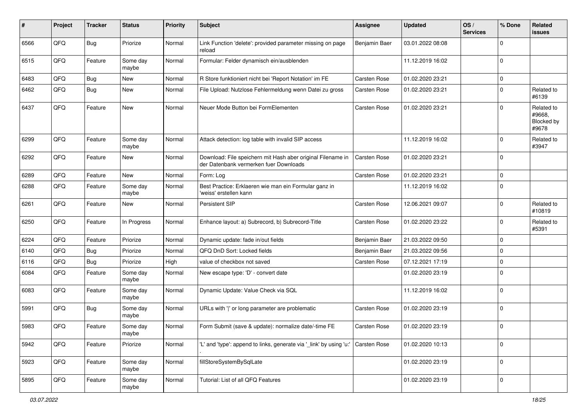| #    | Project | <b>Tracker</b> | <b>Status</b>     | <b>Priority</b> | <b>Subject</b>                                                                                        | <b>Assignee</b> | <b>Updated</b>   | OS/<br><b>Services</b> | % Done      | Related<br>issues                           |
|------|---------|----------------|-------------------|-----------------|-------------------------------------------------------------------------------------------------------|-----------------|------------------|------------------------|-------------|---------------------------------------------|
| 6566 | QFQ     | Bug            | Priorize          | Normal          | Link Function 'delete': provided parameter missing on page<br>reload                                  | Benjamin Baer   | 03.01.2022 08:08 |                        | $\mathbf 0$ |                                             |
| 6515 | QFQ     | Feature        | Some day<br>maybe | Normal          | Formular: Felder dynamisch ein/ausblenden                                                             |                 | 11.12.2019 16:02 |                        | $\mathbf 0$ |                                             |
| 6483 | QFQ     | <b>Bug</b>     | New               | Normal          | R Store funktioniert nicht bei 'Report Notation' im FE                                                | Carsten Rose    | 01.02.2020 23:21 |                        | $\mathbf 0$ |                                             |
| 6462 | QFQ     | Bug            | New               | Normal          | File Upload: Nutzlose Fehlermeldung wenn Datei zu gross                                               | Carsten Rose    | 01.02.2020 23:21 |                        | $\mathbf 0$ | Related to<br>#6139                         |
| 6437 | QFQ     | Feature        | <b>New</b>        | Normal          | Neuer Mode Button bei FormElementen                                                                   | Carsten Rose    | 01.02.2020 23:21 |                        | $\mathbf 0$ | Related to<br>#9668,<br>Blocked by<br>#9678 |
| 6299 | QFQ     | Feature        | Some day<br>maybe | Normal          | Attack detection: log table with invalid SIP access                                                   |                 | 11.12.2019 16:02 |                        | $\mathbf 0$ | Related to<br>#3947                         |
| 6292 | QFQ     | Feature        | New               | Normal          | Download: File speichern mit Hash aber original Filename in<br>der Datenbank vermerken fuer Downloads | Carsten Rose    | 01.02.2020 23:21 |                        | $\mathbf 0$ |                                             |
| 6289 | QFQ     | Feature        | <b>New</b>        | Normal          | Form: Log                                                                                             | Carsten Rose    | 01.02.2020 23:21 |                        | $\mathbf 0$ |                                             |
| 6288 | QFQ     | Feature        | Some day<br>maybe | Normal          | Best Practice: Erklaeren wie man ein Formular ganz in<br>'weiss' erstellen kann                       |                 | 11.12.2019 16:02 |                        | $\mathbf 0$ |                                             |
| 6261 | QFQ     | Feature        | New               | Normal          | Persistent SIP                                                                                        | Carsten Rose    | 12.06.2021 09:07 |                        | $\mathbf 0$ | Related to<br>#10819                        |
| 6250 | QFQ     | Feature        | In Progress       | Normal          | Enhance layout: a) Subrecord, b) Subrecord-Title                                                      | Carsten Rose    | 01.02.2020 23:22 |                        | $\mathbf 0$ | Related to<br>#5391                         |
| 6224 | QFQ     | Feature        | Priorize          | Normal          | Dynamic update: fade in/out fields                                                                    | Benjamin Baer   | 21.03.2022 09:50 |                        | $\mathbf 0$ |                                             |
| 6140 | QFQ     | Bug            | Priorize          | Normal          | QFQ DnD Sort: Locked fields                                                                           | Benjamin Baer   | 21.03.2022 09:56 |                        | $\mathbf 0$ |                                             |
| 6116 | QFQ     | Bug            | Priorize          | High            | value of checkbox not saved                                                                           | Carsten Rose    | 07.12.2021 17:19 |                        | $\mathbf 0$ |                                             |
| 6084 | QFQ     | Feature        | Some day<br>maybe | Normal          | New escape type: 'D' - convert date                                                                   |                 | 01.02.2020 23:19 |                        | $\mathbf 0$ |                                             |
| 6083 | QFQ     | Feature        | Some day<br>maybe | Normal          | Dynamic Update: Value Check via SQL                                                                   |                 | 11.12.2019 16:02 |                        | $\mathbf 0$ |                                             |
| 5991 | QFQ     | Bug            | Some day<br>maybe | Normal          | URLs with ' ' or long parameter are problematic                                                       | Carsten Rose    | 01.02.2020 23:19 |                        | $\mathbf 0$ |                                             |
| 5983 | QFQ     | Feature        | Some day<br>maybe | Normal          | Form Submit (save & update): normalize date/-time FE                                                  | Carsten Rose    | 01.02.2020 23:19 |                        | $\mathbf 0$ |                                             |
| 5942 | QFQ     | Feature        | Priorize          | Normal          | 'L' and 'type': append to links, generate via '_link' by using 'u:'                                   | Carsten Rose    | 01.02.2020 10:13 |                        | $\mathbf 0$ |                                             |
| 5923 | QFO     | Feature        | Some day<br>maybe | Normal          | fillStoreSystemBySqlLate                                                                              |                 | 01.02.2020 23:19 |                        | $\mathbf 0$ |                                             |
| 5895 | QFO     | Feature        | Some day<br>maybe | Normal          | Tutorial: List of all QFQ Features                                                                    |                 | 01.02.2020 23:19 |                        | $\mathbf 0$ |                                             |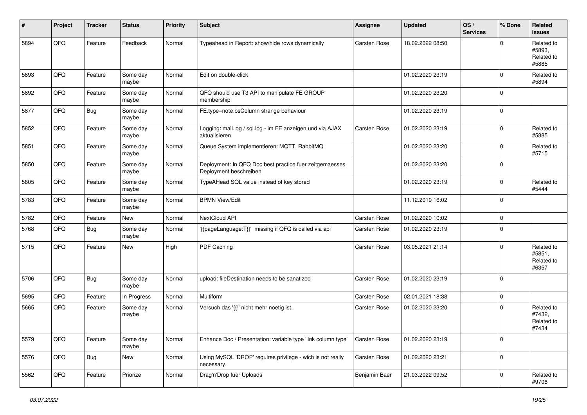| #    | Project | <b>Tracker</b> | <b>Status</b>     | <b>Priority</b> | <b>Subject</b>                                                                    | <b>Assignee</b> | <b>Updated</b>   | OS/<br><b>Services</b> | % Done      | Related<br><b>issues</b>                    |
|------|---------|----------------|-------------------|-----------------|-----------------------------------------------------------------------------------|-----------------|------------------|------------------------|-------------|---------------------------------------------|
| 5894 | QFQ     | Feature        | Feedback          | Normal          | Typeahead in Report: show/hide rows dynamically                                   | Carsten Rose    | 18.02.2022 08:50 |                        | $\Omega$    | Related to<br>#5893.<br>Related to<br>#5885 |
| 5893 | QFQ     | Feature        | Some day<br>maybe | Normal          | Edit on double-click                                                              |                 | 01.02.2020 23:19 |                        | $\mathbf 0$ | Related to<br>#5894                         |
| 5892 | QFQ     | Feature        | Some day<br>maybe | Normal          | QFQ should use T3 API to manipulate FE GROUP<br>membership                        |                 | 01.02.2020 23:20 |                        | $\mathbf 0$ |                                             |
| 5877 | QFQ     | <b>Bug</b>     | Some day<br>maybe | Normal          | FE.type=note:bsColumn strange behaviour                                           |                 | 01.02.2020 23:19 |                        | $\mathbf 0$ |                                             |
| 5852 | QFQ     | Feature        | Some day<br>maybe | Normal          | Logging: mail.log / sql.log - im FE anzeigen und via AJAX<br>aktualisieren        | Carsten Rose    | 01.02.2020 23:19 |                        | $\Omega$    | Related to<br>#5885                         |
| 5851 | QFQ     | Feature        | Some day<br>maybe | Normal          | Queue System implementieren: MQTT, RabbitMQ                                       |                 | 01.02.2020 23:20 |                        | $\mathbf 0$ | Related to<br>#5715                         |
| 5850 | QFQ     | Feature        | Some day<br>maybe | Normal          | Deployment: In QFQ Doc best practice fuer zeitgemaesses<br>Deployment beschreiben |                 | 01.02.2020 23:20 |                        | $\mathbf 0$ |                                             |
| 5805 | QFQ     | Feature        | Some day<br>maybe | Normal          | TypeAHead SQL value instead of key stored                                         |                 | 01.02.2020 23:19 |                        | $\mathbf 0$ | Related to<br>#5444                         |
| 5783 | QFQ     | Feature        | Some day<br>maybe | Normal          | <b>BPMN View/Edit</b>                                                             |                 | 11.12.2019 16:02 |                        | $\mathbf 0$ |                                             |
| 5782 | QFQ     | Feature        | New               | Normal          | NextCloud API                                                                     | Carsten Rose    | 01.02.2020 10:02 |                        | $\mathbf 0$ |                                             |
| 5768 | QFQ     | Bug            | Some day<br>maybe | Normal          | '{{pageLanguage:T}}' missing if QFQ is called via api                             | Carsten Rose    | 01.02.2020 23:19 |                        | $\mathbf 0$ |                                             |
| 5715 | QFQ     | Feature        | New               | High            | PDF Caching                                                                       | Carsten Rose    | 03.05.2021 21:14 |                        | $\Omega$    | Related to<br>#5851,<br>Related to<br>#6357 |
| 5706 | QFQ     | Bug            | Some day<br>maybe | Normal          | upload: fileDestination needs to be sanatized                                     | Carsten Rose    | 01.02.2020 23:19 |                        | $\mathbf 0$ |                                             |
| 5695 | QFQ     | Feature        | In Progress       | Normal          | Multiform                                                                         | Carsten Rose    | 02.01.2021 18:38 |                        | $\mathbf 0$ |                                             |
| 5665 | QFQ     | Feature        | Some day<br>maybe | Normal          | Versuch das '{{!' nicht mehr noetig ist.                                          | Carsten Rose    | 01.02.2020 23:20 |                        | $\mathbf 0$ | Related to<br>#7432,<br>Related to<br>#7434 |
| 5579 | QFG     | Feature        | Some day<br>maybe | Normal          | Enhance Doc / Presentation: variable type 'link column type'                      | Carsten Rose    | 01.02.2020 23:19 |                        | $\mathbf 0$ |                                             |
| 5576 | QFO     | <b>Bug</b>     | New               | Normal          | Using MySQL 'DROP' requires privilege - wich is not really<br>necessary.          | Carsten Rose    | 01.02.2020 23:21 |                        | $\mathbf 0$ |                                             |
| 5562 | QFQ     | Feature        | Priorize          | Normal          | Drag'n'Drop fuer Uploads                                                          | Benjamin Baer   | 21.03.2022 09:52 |                        | $\mathbf 0$ | Related to<br>#9706                         |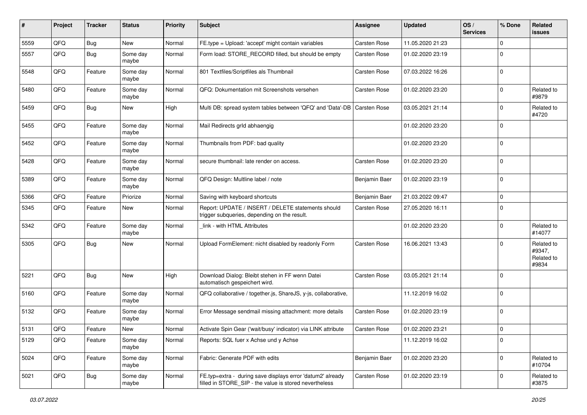| #    | Project | <b>Tracker</b> | <b>Status</b>     | <b>Priority</b> | Subject                                                                                                              | <b>Assignee</b>     | <b>Updated</b>   | OS/<br><b>Services</b> | % Done      | Related<br><b>issues</b>                    |
|------|---------|----------------|-------------------|-----------------|----------------------------------------------------------------------------------------------------------------------|---------------------|------------------|------------------------|-------------|---------------------------------------------|
| 5559 | QFQ     | Bug            | New               | Normal          | FE.type = Upload: 'accept' might contain variables                                                                   | Carsten Rose        | 11.05.2020 21:23 |                        | $\Omega$    |                                             |
| 5557 | QFQ     | <b>Bug</b>     | Some day<br>maybe | Normal          | Form load: STORE_RECORD filled, but should be empty                                                                  | Carsten Rose        | 01.02.2020 23:19 |                        | $\mathbf 0$ |                                             |
| 5548 | QFQ     | Feature        | Some day<br>maybe | Normal          | 801 Textfiles/Scriptfiles als Thumbnail                                                                              | Carsten Rose        | 07.03.2022 16:26 |                        | $\mathbf 0$ |                                             |
| 5480 | QFQ     | Feature        | Some day<br>maybe | Normal          | QFQ: Dokumentation mit Screenshots versehen                                                                          | Carsten Rose        | 01.02.2020 23:20 |                        | $\mathbf 0$ | Related to<br>#9879                         |
| 5459 | QFQ     | <b>Bug</b>     | <b>New</b>        | High            | Multi DB: spread system tables between 'QFQ' and 'Data'-DB   Carsten Rose                                            |                     | 03.05.2021 21:14 |                        | $\mathbf 0$ | Related to<br>#4720                         |
| 5455 | QFQ     | Feature        | Some day<br>maybe | Normal          | Mail Redirects grld abhaengig                                                                                        |                     | 01.02.2020 23:20 |                        | $\mathbf 0$ |                                             |
| 5452 | QFQ     | Feature        | Some day<br>maybe | Normal          | Thumbnails from PDF: bad quality                                                                                     |                     | 01.02.2020 23:20 |                        | $\mathbf 0$ |                                             |
| 5428 | QFQ     | Feature        | Some day<br>maybe | Normal          | secure thumbnail: late render on access.                                                                             | Carsten Rose        | 01.02.2020 23:20 |                        | $\mathbf 0$ |                                             |
| 5389 | QFQ     | Feature        | Some day<br>maybe | Normal          | QFQ Design: Multline label / note                                                                                    | Benjamin Baer       | 01.02.2020 23:19 |                        | $\mathbf 0$ |                                             |
| 5366 | QFQ     | Feature        | Priorize          | Normal          | Saving with keyboard shortcuts                                                                                       | Benjamin Baer       | 21.03.2022 09:47 |                        | $\mathbf 0$ |                                             |
| 5345 | QFQ     | Feature        | <b>New</b>        | Normal          | Report: UPDATE / INSERT / DELETE statements should<br>trigger subqueries, depending on the result.                   | Carsten Rose        | 27.05.2020 16:11 |                        | $\mathbf 0$ |                                             |
| 5342 | QFQ     | Feature        | Some day<br>maybe | Normal          | link - with HTML Attributes                                                                                          |                     | 01.02.2020 23:20 |                        | $\mathbf 0$ | Related to<br>#14077                        |
| 5305 | QFQ     | <b>Bug</b>     | New               | Normal          | Upload FormElement: nicht disabled by readonly Form                                                                  | Carsten Rose        | 16.06.2021 13:43 |                        | $\mathbf 0$ | Related to<br>#9347,<br>Related to<br>#9834 |
| 5221 | QFQ     | <b>Bug</b>     | New               | High            | Download Dialog: Bleibt stehen in FF wenn Datei<br>automatisch gespeichert wird.                                     | Carsten Rose        | 03.05.2021 21:14 |                        | $\mathbf 0$ |                                             |
| 5160 | QFQ     | Feature        | Some day<br>maybe | Normal          | QFQ collaborative / together.js, ShareJS, y-js, collaborative,                                                       |                     | 11.12.2019 16:02 |                        | $\mathbf 0$ |                                             |
| 5132 | QFQ     | Feature        | Some day<br>maybe | Normal          | Error Message sendmail missing attachment: more details                                                              | Carsten Rose        | 01.02.2020 23:19 |                        | $\mathbf 0$ |                                             |
| 5131 | QFQ     | Feature        | <b>New</b>        | Normal          | Activate Spin Gear ('wait/busy' indicator) via LINK attribute                                                        | <b>Carsten Rose</b> | 01.02.2020 23:21 |                        | $\mathbf 0$ |                                             |
| 5129 | QFQ     | Feature        | Some day<br>maybe | Normal          | Reports: SQL fuer x Achse und y Achse                                                                                |                     | 11.12.2019 16:02 |                        | $\pmb{0}$   |                                             |
| 5024 | QFQ     | Feature        | Some day<br>maybe | Normal          | Fabric: Generate PDF with edits                                                                                      | Benjamin Baer       | 01.02.2020 23:20 |                        | $\mathbf 0$ | Related to<br>#10704                        |
| 5021 | QFQ     | Bug            | Some day<br>maybe | Normal          | FE.typ=extra - during save displays error 'datum2' already<br>filled in STORE_SIP - the value is stored nevertheless | Carsten Rose        | 01.02.2020 23:19 |                        | $\mathbf 0$ | Related to<br>#3875                         |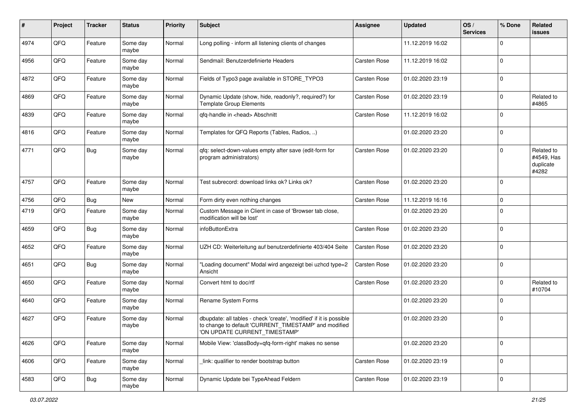| #    | Project | <b>Tracker</b> | <b>Status</b>     | <b>Priority</b> | Subject                                                                                                                                                       | <b>Assignee</b> | <b>Updated</b>   | OS/<br><b>Services</b> | % Done      | Related<br><b>issues</b>                       |
|------|---------|----------------|-------------------|-----------------|---------------------------------------------------------------------------------------------------------------------------------------------------------------|-----------------|------------------|------------------------|-------------|------------------------------------------------|
| 4974 | QFQ     | Feature        | Some day<br>maybe | Normal          | Long polling - inform all listening clients of changes                                                                                                        |                 | 11.12.2019 16:02 |                        | $\Omega$    |                                                |
| 4956 | QFQ     | Feature        | Some day<br>maybe | Normal          | Sendmail: Benutzerdefinierte Headers                                                                                                                          | Carsten Rose    | 11.12.2019 16:02 |                        | $\mathbf 0$ |                                                |
| 4872 | QFQ     | Feature        | Some day<br>maybe | Normal          | Fields of Typo3 page available in STORE_TYPO3                                                                                                                 | Carsten Rose    | 01.02.2020 23:19 |                        | $\mathbf 0$ |                                                |
| 4869 | QFQ     | Feature        | Some day<br>maybe | Normal          | Dynamic Update (show, hide, readonly?, required?) for<br><b>Template Group Elements</b>                                                                       | Carsten Rose    | 01.02.2020 23:19 |                        | $\mathbf 0$ | Related to<br>#4865                            |
| 4839 | QFQ     | Feature        | Some day<br>maybe | Normal          | qfq-handle in <head> Abschnitt</head>                                                                                                                         | Carsten Rose    | 11.12.2019 16:02 |                        | $\mathbf 0$ |                                                |
| 4816 | QFQ     | Feature        | Some day<br>maybe | Normal          | Templates for QFQ Reports (Tables, Radios, )                                                                                                                  |                 | 01.02.2020 23:20 |                        | $\mathbf 0$ |                                                |
| 4771 | QFQ     | Bug            | Some day<br>maybe | Normal          | gfg: select-down-values empty after save (edit-form for<br>program administrators)                                                                            | Carsten Rose    | 01.02.2020 23:20 |                        | $\Omega$    | Related to<br>#4549, Has<br>duplicate<br>#4282 |
| 4757 | QFQ     | Feature        | Some day<br>maybe | Normal          | Test subrecord: download links ok? Links ok?                                                                                                                  | Carsten Rose    | 01.02.2020 23:20 |                        | $\mathbf 0$ |                                                |
| 4756 | QFQ     | Bug            | New               | Normal          | Form dirty even nothing changes                                                                                                                               | Carsten Rose    | 11.12.2019 16:16 |                        | $\mathbf 0$ |                                                |
| 4719 | QFQ     | Feature        | Some day<br>maybe | Normal          | Custom Message in Client in case of 'Browser tab close,<br>modification will be lost'                                                                         |                 | 01.02.2020 23:20 |                        | $\mathbf 0$ |                                                |
| 4659 | QFQ     | Bug            | Some day<br>maybe | Normal          | infoButtonExtra                                                                                                                                               | Carsten Rose    | 01.02.2020 23:20 |                        | $\mathbf 0$ |                                                |
| 4652 | QFQ     | Feature        | Some day<br>maybe | Normal          | UZH CD: Weiterleitung auf benutzerdefinierte 403/404 Seite                                                                                                    | Carsten Rose    | 01.02.2020 23:20 |                        | $\mathbf 0$ |                                                |
| 4651 | QFQ     | Bug            | Some day<br>maybe | Normal          | "Loading document" Modal wird angezeigt bei uzhcd type=2<br>Ansicht                                                                                           | Carsten Rose    | 01.02.2020 23:20 |                        | $\mathbf 0$ |                                                |
| 4650 | QFQ     | Feature        | Some day<br>maybe | Normal          | Convert html to doc/rtf                                                                                                                                       | Carsten Rose    | 01.02.2020 23:20 |                        | $\mathbf 0$ | Related to<br>#10704                           |
| 4640 | QFQ     | Feature        | Some day<br>maybe | Normal          | Rename System Forms                                                                                                                                           |                 | 01.02.2020 23:20 |                        | $\Omega$    |                                                |
| 4627 | QFQ     | Feature        | Some day<br>maybe | Normal          | dbupdate: all tables - check 'create', 'modified' if it is possible<br>to change to default 'CURRENT_TIMESTAMP' and modified<br>'ON UPDATE CURRENT_TIMESTAMP' |                 | 01.02.2020 23:20 |                        | $\mathbf 0$ |                                                |
| 4626 | QFQ     | Feature        | Some day<br>maybe | Normal          | Mobile View: 'classBody=qfq-form-right' makes no sense                                                                                                        |                 | 01.02.2020 23:20 |                        | $\mathbf 0$ |                                                |
| 4606 | QFQ     | Feature        | Some day<br>maybe | Normal          | link: qualifier to render bootstrap button                                                                                                                    | Carsten Rose    | 01.02.2020 23:19 |                        | $\mathbf 0$ |                                                |
| 4583 | QFQ     | <b>Bug</b>     | Some day<br>maybe | Normal          | Dynamic Update bei TypeAhead Feldern                                                                                                                          | Carsten Rose    | 01.02.2020 23:19 |                        | $\mathbf 0$ |                                                |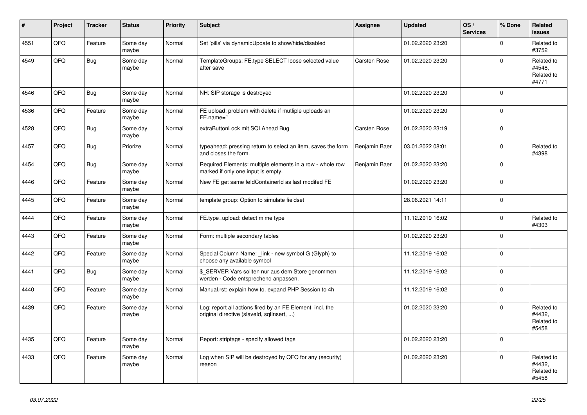| #    | Project | <b>Tracker</b> | <b>Status</b>     | <b>Priority</b> | <b>Subject</b>                                                                                         | Assignee      | <b>Updated</b>   | OS/<br><b>Services</b> | % Done              | Related<br><b>issues</b>                    |
|------|---------|----------------|-------------------|-----------------|--------------------------------------------------------------------------------------------------------|---------------|------------------|------------------------|---------------------|---------------------------------------------|
| 4551 | QFQ     | Feature        | Some day<br>maybe | Normal          | Set 'pills' via dynamicUpdate to show/hide/disabled                                                    |               | 01.02.2020 23:20 |                        | $\Omega$            | Related to<br>#3752                         |
| 4549 | QFQ     | Bug            | Some day<br>maybe | Normal          | TemplateGroups: FE.type SELECT loose selected value<br>after save                                      | Carsten Rose  | 01.02.2020 23:20 |                        | $\mathbf 0$         | Related to<br>#4548,<br>Related to<br>#4771 |
| 4546 | QFQ     | Bug            | Some day<br>maybe | Normal          | NH: SIP storage is destroyed                                                                           |               | 01.02.2020 23:20 |                        | $\Omega$            |                                             |
| 4536 | QFQ     | Feature        | Some day<br>maybe | Normal          | FE upload: problem with delete if mutliple uploads an<br>FE.name="                                     |               | 01.02.2020 23:20 |                        | $\mathbf 0$         |                                             |
| 4528 | QFQ     | <b>Bug</b>     | Some day<br>maybe | Normal          | extraButtonLock mit SQLAhead Bug                                                                       | Carsten Rose  | 01.02.2020 23:19 |                        | $\mathbf 0$         |                                             |
| 4457 | QFQ     | Bug            | Priorize          | Normal          | typeahead: pressing return to select an item, saves the form<br>and closes the form.                   | Benjamin Baer | 03.01.2022 08:01 |                        | $\Omega$            | Related to<br>#4398                         |
| 4454 | QFQ     | Bug            | Some day<br>maybe | Normal          | Required Elements: multiple elements in a row - whole row<br>marked if only one input is empty.        | Benjamin Baer | 01.02.2020 23:20 |                        | $\mathbf 0$         |                                             |
| 4446 | QFQ     | Feature        | Some day<br>maybe | Normal          | New FE get same feldContainerId as last modifed FE                                                     |               | 01.02.2020 23:20 |                        | $\mathsf{O}\xspace$ |                                             |
| 4445 | QFQ     | Feature        | Some day<br>maybe | Normal          | template group: Option to simulate fieldset                                                            |               | 28.06.2021 14:11 |                        | $\Omega$            |                                             |
| 4444 | QFQ     | Feature        | Some day<br>maybe | Normal          | FE.type=upload: detect mime type                                                                       |               | 11.12.2019 16:02 |                        | $\mathbf 0$         | Related to<br>#4303                         |
| 4443 | QFQ     | Feature        | Some day<br>maybe | Normal          | Form: multiple secondary tables                                                                        |               | 01.02.2020 23:20 |                        | $\mathbf 0$         |                                             |
| 4442 | QFQ     | Feature        | Some day<br>maybe | Normal          | Special Column Name: _link - new symbol G (Glyph) to<br>choose any available symbol                    |               | 11.12.2019 16:02 |                        | $\mathbf 0$         |                                             |
| 4441 | QFQ     | <b>Bug</b>     | Some day<br>maybe | Normal          | \$_SERVER Vars sollten nur aus dem Store genommen<br>werden - Code entsprechend anpassen.              |               | 11.12.2019 16:02 |                        | $\mathbf 0$         |                                             |
| 4440 | QFQ     | Feature        | Some day<br>maybe | Normal          | Manual.rst: explain how to. expand PHP Session to 4h                                                   |               | 11.12.2019 16:02 |                        | $\mathsf 0$         |                                             |
| 4439 | QFQ     | Feature        | Some day<br>maybe | Normal          | Log: report all actions fired by an FE Element, incl. the<br>original directive (slaveld, sqllnsert, ) |               | 01.02.2020 23:20 |                        | $\Omega$            | Related to<br>#4432,<br>Related to<br>#5458 |
| 4435 | QFQ     | Feature        | Some day<br>maybe | Normal          | Report: striptags - specify allowed tags                                                               |               | 01.02.2020 23:20 |                        | $\mathbf 0$         |                                             |
| 4433 | QFQ     | Feature        | Some day<br>maybe | Normal          | Log when SIP will be destroyed by QFQ for any (security)<br>reason                                     |               | 01.02.2020 23:20 |                        | $\mathbf 0$         | Related to<br>#4432,<br>Related to<br>#5458 |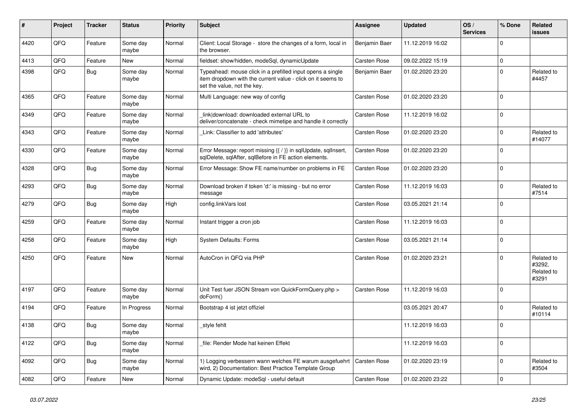| ∦    | Project | <b>Tracker</b> | <b>Status</b>     | <b>Priority</b> | <b>Subject</b>                                                                                                                                           | Assignee            | <b>Updated</b>   | OS/<br><b>Services</b> | % Done              | Related<br><b>issues</b>                    |
|------|---------|----------------|-------------------|-----------------|----------------------------------------------------------------------------------------------------------------------------------------------------------|---------------------|------------------|------------------------|---------------------|---------------------------------------------|
| 4420 | QFQ     | Feature        | Some day<br>maybe | Normal          | Client: Local Storage - store the changes of a form, local in<br>the browser.                                                                            | Benjamin Baer       | 11.12.2019 16:02 |                        | $\mathbf 0$         |                                             |
| 4413 | QFQ     | Feature        | <b>New</b>        | Normal          | fieldset: show/hidden, modeSql, dynamicUpdate                                                                                                            | Carsten Rose        | 09.02.2022 15:19 |                        | $\mathsf{O}\xspace$ |                                             |
| 4398 | QFQ     | <b>Bug</b>     | Some day<br>maybe | Normal          | Typeahead: mouse click in a prefilled input opens a single<br>item dropdown with the current value - click on it seems to<br>set the value, not the key. | Benjamin Baer       | 01.02.2020 23:20 |                        | $\mathbf 0$         | Related to<br>#4457                         |
| 4365 | QFQ     | Feature        | Some day<br>maybe | Normal          | Multi Language: new way of config                                                                                                                        | Carsten Rose        | 01.02.2020 23:20 |                        | $\mathbf 0$         |                                             |
| 4349 | QFQ     | Feature        | Some day<br>maybe | Normal          | link download: downloaded external URL to<br>deliver/concatenate - check mimetipe and handle it correctly                                                | Carsten Rose        | 11.12.2019 16:02 |                        | $\mathbf 0$         |                                             |
| 4343 | QFQ     | Feature        | Some day<br>maybe | Normal          | Link: Classifier to add 'attributes'                                                                                                                     | Carsten Rose        | 01.02.2020 23:20 |                        | $\Omega$            | Related to<br>#14077                        |
| 4330 | QFQ     | Feature        | Some day<br>maybe | Normal          | Error Message: report missing {{ / }} in sqlUpdate, sqlInsert,<br>sqlDelete, sqlAfter, sqlBefore in FE action elements.                                  | Carsten Rose        | 01.02.2020 23:20 |                        | $\Omega$            |                                             |
| 4328 | QFQ     | <b>Bug</b>     | Some day<br>maybe | Normal          | Error Message: Show FE name/number on problems in FE                                                                                                     | Carsten Rose        | 01.02.2020 23:20 |                        | $\mathbf 0$         |                                             |
| 4293 | QFQ     | Bug            | Some day<br>maybe | Normal          | Download broken if token 'd:' is missing - but no error<br>message                                                                                       | Carsten Rose        | 11.12.2019 16:03 |                        | $\Omega$            | Related to<br>#7514                         |
| 4279 | QFQ     | Bug            | Some day<br>maybe | High            | config.linkVars lost                                                                                                                                     | Carsten Rose        | 03.05.2021 21:14 |                        | $\mathbf 0$         |                                             |
| 4259 | QFQ     | Feature        | Some day<br>maybe | Normal          | Instant trigger a cron job                                                                                                                               | Carsten Rose        | 11.12.2019 16:03 |                        | $\pmb{0}$           |                                             |
| 4258 | QFQ     | Feature        | Some day<br>maybe | High            | <b>System Defaults: Forms</b>                                                                                                                            | Carsten Rose        | 03.05.2021 21:14 |                        | $\Omega$            |                                             |
| 4250 | QFQ     | Feature        | <b>New</b>        | Normal          | AutoCron in QFQ via PHP                                                                                                                                  | Carsten Rose        | 01.02.2020 23:21 |                        | $\Omega$            | Related to<br>#3292,<br>Related to<br>#3291 |
| 4197 | QFQ     | Feature        | Some day<br>maybe | Normal          | Unit Test fuer JSON Stream von QuickFormQuery.php ><br>doForm()                                                                                          | Carsten Rose        | 11.12.2019 16:03 |                        | $\mathbf 0$         |                                             |
| 4194 | QFQ     | Feature        | In Progress       | Normal          | Bootstrap 4 ist jetzt offiziel                                                                                                                           |                     | 03.05.2021 20:47 |                        | $\Omega$            | Related to<br>#10114                        |
| 4138 | QFQ     | <b>Bug</b>     | Some day<br>maybe | Normal          | style fehlt                                                                                                                                              |                     | 11.12.2019 16:03 |                        | $\Omega$            |                                             |
| 4122 | QFQ     | Bug            | Some day<br>maybe | Normal          | file: Render Mode hat keinen Effekt                                                                                                                      |                     | 11.12.2019 16:03 |                        | $\mathbf 0$         |                                             |
| 4092 | QFQ     | Bug            | Some day<br>maybe | Normal          | 1) Logging verbessern wann welches FE warum ausgefuehrt<br>wird, 2) Documentation: Best Practice Template Group                                          | <b>Carsten Rose</b> | 01.02.2020 23:19 |                        | $\mathbf 0$         | Related to<br>#3504                         |
| 4082 | QFQ     | Feature        | <b>New</b>        | Normal          | Dynamic Update: modeSql - useful default                                                                                                                 | Carsten Rose        | 01.02.2020 23:22 |                        | $\Omega$            |                                             |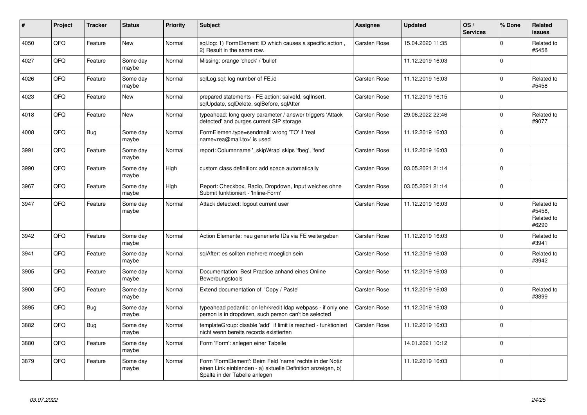| #    | Project | <b>Tracker</b> | <b>Status</b>     | <b>Priority</b> | <b>Subject</b>                                                                                                                                           | <b>Assignee</b> | <b>Updated</b>   | OS/<br><b>Services</b> | % Done      | Related<br><b>issues</b>                    |
|------|---------|----------------|-------------------|-----------------|----------------------------------------------------------------------------------------------------------------------------------------------------------|-----------------|------------------|------------------------|-------------|---------------------------------------------|
| 4050 | QFQ     | Feature        | <b>New</b>        | Normal          | sql.log: 1) FormElement ID which causes a specific action,<br>2) Result in the same row.                                                                 | Carsten Rose    | 15.04.2020 11:35 |                        | $\mathbf 0$ | Related to<br>#5458                         |
| 4027 | QFQ     | Feature        | Some day<br>maybe | Normal          | Missing: orange 'check' / 'bullet'                                                                                                                       |                 | 11.12.2019 16:03 |                        | $\mathbf 0$ |                                             |
| 4026 | QFQ     | Feature        | Some day<br>maybe | Normal          | sglLog.sgl: log number of FE.id                                                                                                                          | Carsten Rose    | 11.12.2019 16:03 |                        | $\Omega$    | Related to<br>#5458                         |
| 4023 | QFQ     | Feature        | New               | Normal          | prepared statements - FE action: salveld, sqllnsert,<br>sqlUpdate, sqlDelete, sqlBefore, sqlAfter                                                        | Carsten Rose    | 11.12.2019 16:15 |                        | $\Omega$    |                                             |
| 4018 | QFQ     | Feature        | New               | Normal          | typeahead: long query parameter / answer triggers 'Attack<br>detected' and purges current SIP storage.                                                   | Carsten Rose    | 29.06.2022 22:46 |                        | $\Omega$    | Related to<br>#9077                         |
| 4008 | QFQ     | Bug            | Some day<br>maybe | Normal          | FormElemen.type=sendmail: wrong 'TO' if 'real<br>name <rea@mail.to>' is used</rea@mail.to>                                                               | Carsten Rose    | 11.12.2019 16:03 |                        | $\Omega$    |                                             |
| 3991 | QFQ     | Feature        | Some day<br>maybe | Normal          | report: Columnname ' skipWrap' skips 'fbeg', 'fend'                                                                                                      | Carsten Rose    | 11.12.2019 16:03 |                        | $\Omega$    |                                             |
| 3990 | QFQ     | Feature        | Some day<br>maybe | High            | custom class definition: add space automatically                                                                                                         | Carsten Rose    | 03.05.2021 21:14 |                        | $\mathbf 0$ |                                             |
| 3967 | QFQ     | Feature        | Some day<br>maybe | High            | Report: Checkbox, Radio, Dropdown, Input welches ohne<br>Submit funktioniert - 'Inline-Form'                                                             | Carsten Rose    | 03.05.2021 21:14 |                        | $\mathbf 0$ |                                             |
| 3947 | QFQ     | Feature        | Some day<br>maybe | Normal          | Attack detectect: logout current user                                                                                                                    | Carsten Rose    | 11.12.2019 16:03 |                        | $\Omega$    | Related to<br>#5458,<br>Related to<br>#6299 |
| 3942 | QFQ     | Feature        | Some day<br>maybe | Normal          | Action Elemente: neu generierte IDs via FE weitergeben                                                                                                   | Carsten Rose    | 11.12.2019 16:03 |                        | $\Omega$    | Related to<br>#3941                         |
| 3941 | QFQ     | Feature        | Some day<br>maybe | Normal          | sqlAfter: es sollten mehrere moeglich sein                                                                                                               | Carsten Rose    | 11.12.2019 16:03 |                        | $\Omega$    | Related to<br>#3942                         |
| 3905 | QFQ     | Feature        | Some day<br>maybe | Normal          | Documentation: Best Practice anhand eines Online<br>Bewerbungstools                                                                                      | Carsten Rose    | 11.12.2019 16:03 |                        | $\Omega$    |                                             |
| 3900 | QFQ     | Feature        | Some day<br>maybe | Normal          | Extend documentation of 'Copy / Paste'                                                                                                                   | Carsten Rose    | 11.12.2019 16:03 |                        | $\Omega$    | Related to<br>#3899                         |
| 3895 | QFQ     | Bug            | Some day<br>maybe | Normal          | typeahead pedantic: on lehrkredit Idap webpass - if only one<br>person is in dropdown, such person can't be selected                                     | Carsten Rose    | 11.12.2019 16:03 |                        | $\mathbf 0$ |                                             |
| 3882 | QFQ     | Bug            | Some day<br>maybe | Normal          | templateGroup: disable 'add' if limit is reached - funktioniert<br>nicht wenn bereits records existierten                                                | Carsten Rose    | 11.12.2019 16:03 |                        | $\Omega$    |                                             |
| 3880 | QFQ     | Feature        | Some day<br>maybe | Normal          | Form 'Form': anlegen einer Tabelle                                                                                                                       |                 | 14.01.2021 10:12 |                        | $\Omega$    |                                             |
| 3879 | QFQ     | Feature        | Some day<br>maybe | Normal          | Form 'FormElement': Beim Feld 'name' rechts in der Notiz<br>einen Link einblenden - a) aktuelle Definition anzeigen, b)<br>Spalte in der Tabelle anlegen |                 | 11.12.2019 16:03 |                        | $\mathbf 0$ |                                             |